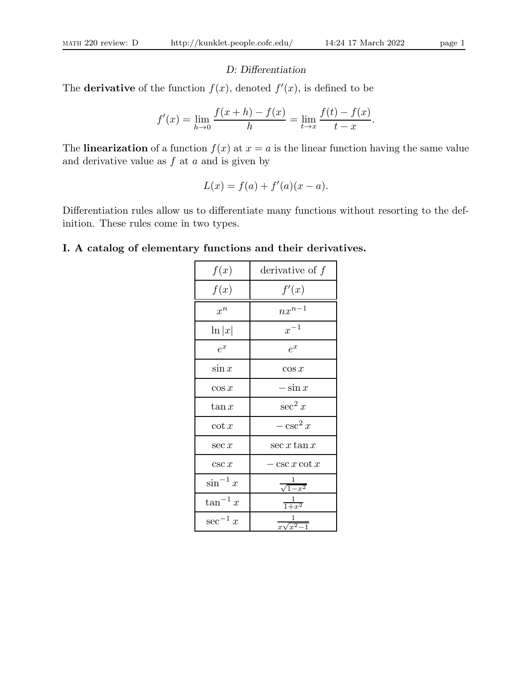# D: Differentiation

The **derivative** of the function  $f(x)$ , denoted  $f'(x)$ , is defined to be

$$
f'(x) = \lim_{h \to 0} \frac{f(x+h) - f(x)}{h} = \lim_{t \to x} \frac{f(t) - f(x)}{t - x}.
$$

The **linearization** of a function  $f(x)$  at  $x = a$  is the linear function having the same value and derivative value as  $f$  at  $a$  and is given by

$$
L(x) = f(a) + f'(a)(x - a).
$$

Differentiation rules allow us to differentiate many functions without resorting to the definition. These rules come in two types.

# I. A catalog of elementary functions and their derivatives.

| f(x)          | derivative of $f$         |  |
|---------------|---------------------------|--|
| f(x)          | f'(x)                     |  |
| $x^n$         | $nx^{n-1}$                |  |
| $\ln  x $     | $x^{-1}$                  |  |
| $e^x$         | $e^x$                     |  |
| $\sin x$      | $\cos x$                  |  |
| $\cos x$      | $-\sin x$                 |  |
| $\tan x$      | $\sec^2 x$                |  |
| $\cot x$      | $-\csc^2 x$               |  |
| $\sec x$      | $\sec x \tan x$           |  |
| csc x         | $-\csc x \cot x$          |  |
| $\sin^{-1} x$ | $\frac{1}{\sqrt{1-x^2}}$  |  |
| $\tan^{-1} x$ | $\frac{1}{1+x^2}$         |  |
| $\sec^{-1} x$ | $\frac{1}{x\sqrt{x^2-1}}$ |  |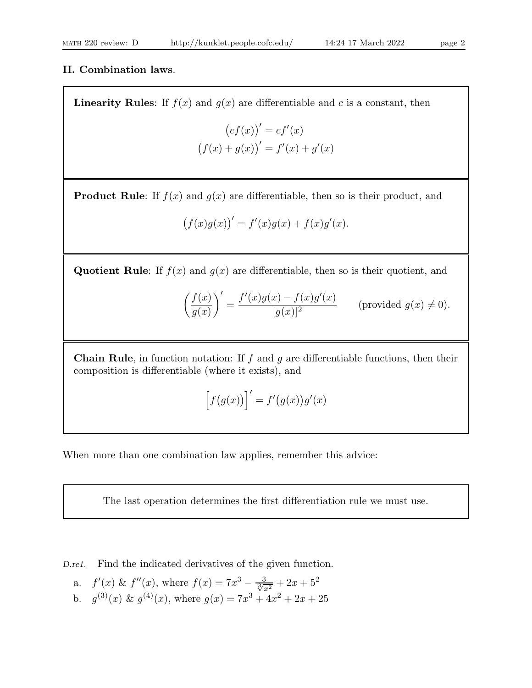# II. Combination laws.

**Linearity Rules:** If  $f(x)$  and  $g(x)$  are differentiable and c is a constant, then

$$
(cf(x))' = cf'(x)
$$
  
 $(f(x) + g(x))' = f'(x) + g'(x)$ 

**Product Rule:** If  $f(x)$  and  $g(x)$  are differentiable, then so is their product, and

$$
(f(x)g(x))' = f'(x)g(x) + f(x)g'(x).
$$

Quotient Rule: If  $f(x)$  and  $g(x)$  are differentiable, then so is their quotient, and

$$
\left(\frac{f(x)}{g(x)}\right)' = \frac{f'(x)g(x) - f(x)g'(x)}{[g(x)]^2} \qquad \text{(provided } g(x) \neq 0\text{)}.
$$

**Chain Rule**, in function notation: If  $f$  and  $g$  are differentiable functions, then their composition is differentiable (where it exists), and

$$
\left[f(g(x))\right]' = f'(g(x))g'(x)
$$

When more than one combination law applies, remember this advice:

The last operation determines the first differentiation rule we must use.

D.re1. Find the indicated derivatives of the given function.

a. 
$$
f'(x) \& f''(x)
$$
, where  $f(x) = 7x^3 - \frac{3}{\sqrt[3]{x^2}} + 2x + 5^2$ 

b.  $g^{(3)}(x) \& g^{(4)}(x)$ , where  $g(x) = 7x^3 + 4x^2 + 2x + 25$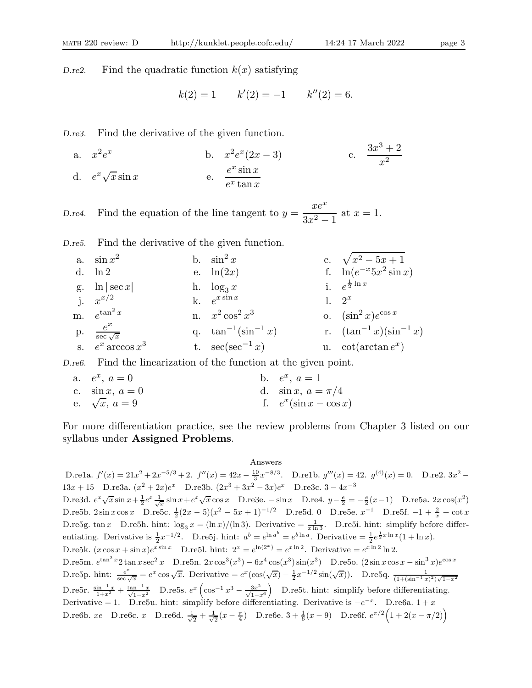D.re2. Find the quadratic function  $k(x)$  satisfying

$$
k(2) = 1
$$
  $k'(2) = -1$   $k''(2) = 6$ .

D.re3. Find the derivative of the given function.

a. 
$$
x^2 e^x
$$
 b.  $x^2 e^x (2x - 3)$  c.  $\frac{3x^3 + 2}{x^2}$   
d.  $e^x \sqrt{x} \sin x$  e.  $\frac{e^x \sin x}{e^x \tan x}$ 

D.re4. Find the equation of the line tangent to  $y =$  $xe^x$  $\frac{2x}{3x^2-1}$  at  $x=1$ .

D.re5. Find the derivative of the given function.

a.  $\sin x^2$ 2 b.  $\sin^2 x$  c.  $\sqrt{x^2 - 5x + 1}$ <br>e.  $\ln(2x)$  f.  $\ln(e^{-x}5x^2 \sin x)$ d.  $\ln 2$  e.  $\ln(2x)$ g.  $\ln |\sec x|$  h.  $\log_3 x$  $rac{1}{2}$  ln x j.  $x^{x/2}$ k.  $e^{x \sin x}$ l.  $2^x$ m.  $e^{tan}$  $\tan^2 x$  n.  $x^2 \cos^2 x^3$ o.  $(\sin^2 x)e^{\cos x}$  $p.$ sec √ x q.  $\tan^{-1}(\sin^{-1} x)$ r.  $(\tan^{-1} x)(\sin^{-1} x)$ s.  $e^x$  arccos  $x^3$ t.  $\sec(\sec^{-1} x)$  $^{x}$ )

D.re6. Find the linearization of the function at the given point.

a.  $e^x$ ,  $a = 0$  b. e  $x, a=1$ c.  $\sin x, a = 0$  d.  $\sin x, a = \pi/4$ e.  $\sqrt{x}$ ,  $a = 9$  f. e  $x(\sin x - \cos x)$ 

For more differentiation practice, see the review problems from Chapter 3 listed on our syllabus under Assigned Problems.

#### Answers

D.re1a.  $f'(x) = 21x^2 + 2x^{-5/3} + 2$ .  $f''(x) = 42x - \frac{10}{3}x^{-8/3}$ . D.re1b.  $g'''(x) = 42$ .  $g^{(4)}(x) = 0$ . D.re2.  $3x^2 -$ 13x + 15 D.re3a.  $(x^2 + 2x)e^x$  D.re3b.  $(2x^3 + 3x^2 - 3x)e^x$  D.re3c.  $3 - 4x^{-3}$ D.re3d.  $e^x \sqrt{x} \sin x + \frac{1}{2} e^x \frac{1}{\sqrt{x}} \sin x + e^x \sqrt{x} \cos x$  D.re3e. − sin x D.re4.  $y - \frac{e}{2} = -\frac{e}{2}(x-1)$  D.re5a.  $2x \cos(x^2)$ D.re5b. 2sin x cos x D.re5c.  $\frac{1}{2}(2x-5)(x^2-5x+1)^{-1/2}$  D.re5d. 0 D.re5e.  $x^{-1}$  D.re5f.  $-1+\frac{2}{x}+\cot x$ D.re5g. tan x D.re5h. hint:  $\log_3 x = (\ln x)/(\ln 3)$ . Derivative  $=\frac{1}{x \ln 3}$ . D.re5i. hint: simplify before differentiating. Derivative is  $\frac{1}{2}x^{-1/2}$ . D.re5j. hint:  $a^b = e^{\ln a^b} = e^{b \ln a}$ . Derivative  $= \frac{1}{2}e^{\frac{1}{2}x \ln x}(1 + \ln x)$ . D.re5k.  $(x \cos x + \sin x)e^{x \sin x}$  D.re5l. hint:  $2^x = e^{\ln(2^x)} = e^{x \ln 2}$ . Derivative  $= e^{x \ln 2} \ln 2$ . D.re5m.  $e^{\tan^2 x} 2 \tan x \sec^2 x$  D.re5n.  $2x \cos^3(x^3) - 6x^4 \cos(x^3) \sin(x^3)$  D.re5o.  $(2 \sin x \cos x - \sin^3 x)e^{\cos x}$ D.re5p. hint:  $\frac{e^x}{\sec \sqrt{x}} = e^x \cos \sqrt{x}$ . Derivative  $= e^x (\cos(\sqrt{x}) - \frac{1}{2}x^{-1/2} \sin(\sqrt{x}))$ . D.re5q.  $\frac{1}{(1+(\sin^{-1}x)^2)\sqrt{1-x^2}}$ D.re5r.  $\frac{\sin^{-1} x}{1+x^2} + \frac{\tan^{-1} x}{\sqrt{1-x^2}}$  D.re5s.  $e^x \left( \cos^{-1} x^3 - \frac{3x^2}{\sqrt{1-x^6}} \right)$  D.re5t. hint: simplify before differentiating. Derivative = 1. D.re5u. hint: simplify before differentiating. Derivative is  $-e^{-x}$ . D.re6a. 1 + x D.re6b. xe D.re6c. x D.re6d.  $\frac{1}{\sqrt{2}} + \frac{1}{\sqrt{2}}(x - \frac{\pi}{4})$  D.re6e. 3 +  $\frac{1}{6}(x - 9)$  D.re6f.  $e^{\pi/2}(1 + 2(x - \pi/2))$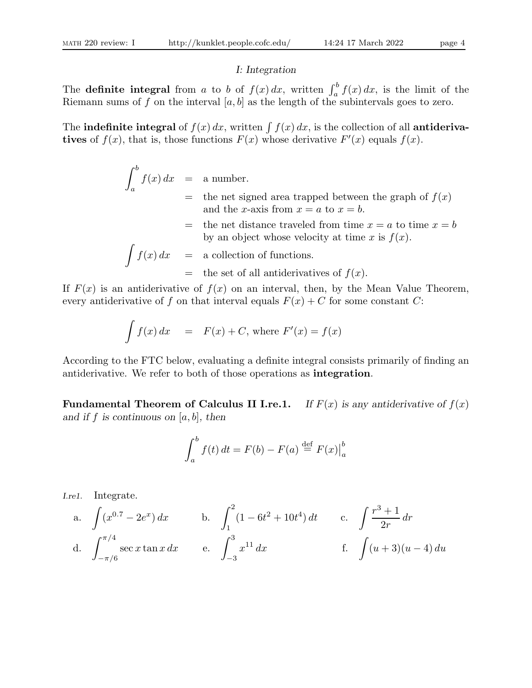# I: Integration

The **definite integral** from a to b of  $f(x) dx$ , written  $\int_a^b f(x) dx$ , is the limit of the Riemann sums of f on the interval  $[a, b]$  as the length of the subintervals goes to zero.

The indefinite integral of  $f(x) dx$ , written  $\int f(x) dx$ , is the collection of all antiderivatives of  $f(x)$ , that is, those functions  $F(x)$  whose derivative  $F'(x)$  equals  $f(x)$ .

$$
\int_{a}^{b} f(x) dx = a number.
$$
  
= the net signed area trapped between the graph of  $f(x)$   
and the *x*-axis from  $x = a$  to  $x = b$ .  
= the net distance traveled from time  $x = a$  to time  $x = b$   
by an object whose velocity at time *x* is  $f(x)$ .  

$$
\int f(x) dx = a collection of functions.= the set of all antiderivatives of  $f(x)$ .
$$

If  $F(x)$  is an antiderivative of  $f(x)$  on an interval, then, by the Mean Value Theorem, every antiderivative of f on that interval equals  $F(x) + C$  for some constant C:

$$
\int f(x) dx = F(x) + C, \text{ where } F'(x) = f(x)
$$

According to the FTC below, evaluating a definite integral consists primarily of finding an antiderivative. We refer to both of those operations as **integration**.

**Fundamental Theorem of Calculus II I.re.1.** If  $F(x)$  is any antiderivative of  $f(x)$ and if f is continuous on  $[a, b]$ , then

$$
\int_{a}^{b} f(t) dt = F(b) - F(a) \stackrel{\text{def}}{=} F(x) \Big|_{a}^{b}
$$

I.re1. Integrate.

a. 
$$
\int (x^{0.7} - 2e^x) dx
$$
 b.  $\int_1^2 (1 - 6t^2 + 10t^4) dt$  c.  $\int \frac{r^3 + 1}{2r} dr$   
d.  $\int_{-\pi/6}^{\pi/4} \sec x \tan x dx$  e.  $\int_{-3}^3 x^{11} dx$  f.  $\int (u+3)(u-4) du$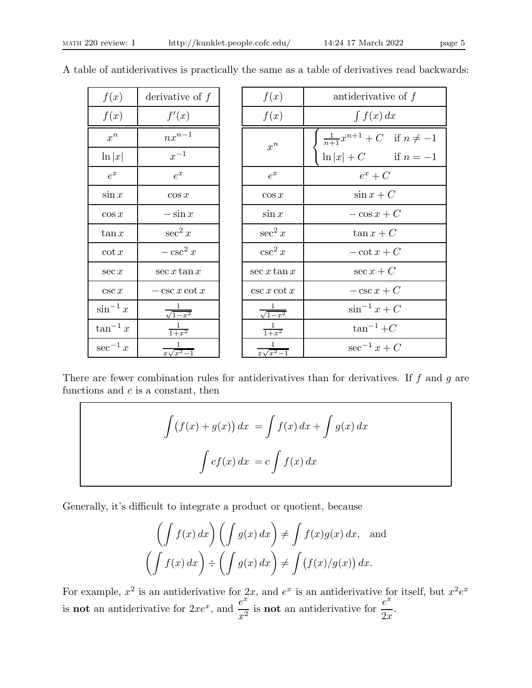| f(x)          | derivative of $f$ | f(x)              | antiderivative of $f$                     |
|---------------|-------------------|-------------------|-------------------------------------------|
| f(x)          | f'(x)             | f(x)              | $\int f(x) dx$                            |
| $x^n$         | $nx^{n-1}$        | $x^n$             | $\frac{1}{n+1}x^{n+1} + C$ if $n \neq -1$ |
| $\ln  x $     | $x^{-1}$          |                   | $\ln  x  + C$ if $n = -1$                 |
| $e^x$         | $e^x$             | $e^x$             | $e^x + C$                                 |
| $\sin x$      | $\cos x$          | $\cos x$          | $\sin x + C$                              |
| $\cos x$      | $-\sin x$         | $\sin x$          | $-\cos x + C$                             |
| $\tan x$      | $\sec^2 x$        | $\sec^2 x$        | $\tan x + C$                              |
| $\cot x$      | $-\csc^2 x$       | $\csc^2 x$        | $-\cot x + C$                             |
| $\sec x$      | $\sec x \tan x$   | $\sec x \tan x$   | $\sec x + C$                              |
| csc x         | $-\csc x \cot x$  | $\csc x \cot x$   | $-\csc x + C$                             |
| $\sin^{-1} x$ | $\sqrt{1-x^2}$    | $\sqrt{1-x^2}$    | $\sin^{-1} x + C$                         |
| $\tan^{-1} x$ | $\frac{1}{1+x^2}$ | $\frac{1}{1+x^2}$ | $\tan^{-1}+C$                             |
| $\sec^{-1} x$ | $x\sqrt{x^2-1}$   | $x\sqrt{x^2-1}$   | $\sec^{-1} x + C$                         |
|               |                   |                   |                                           |

A table of antiderivatives is practically the same as a table of derivatives read backwards:

There are fewer combination rules for antiderivatives than for derivatives. If  $f$  and  $g$  are functions and  $c$  is a constant, then

$$
\int (f(x) + g(x)) dx = \int f(x) dx + \int g(x) dx
$$

$$
\int cf(x) dx = c \int f(x) dx
$$

Generally, it's difficult to integrate a product or quotient, because

$$
\left(\int f(x) dx\right) \left(\int g(x) dx\right) \neq \int f(x)g(x) dx, \text{ and}
$$

$$
\left(\int f(x) dx\right) \div \left(\int g(x) dx\right) \neq \int \left(f(x)/g(x)\right) dx.
$$

For example,  $x^2$  is an antiderivative for  $2x$ , and  $e^x$  is an antiderivative for itself, but  $x^2e^x$ is **not** an antiderivative for  $2xe^x$ , and  $\frac{e^x}{2}$  $\frac{e^x}{x^2}$  is **not** an antiderivative for  $\frac{e^x}{2x}$  $2x$ .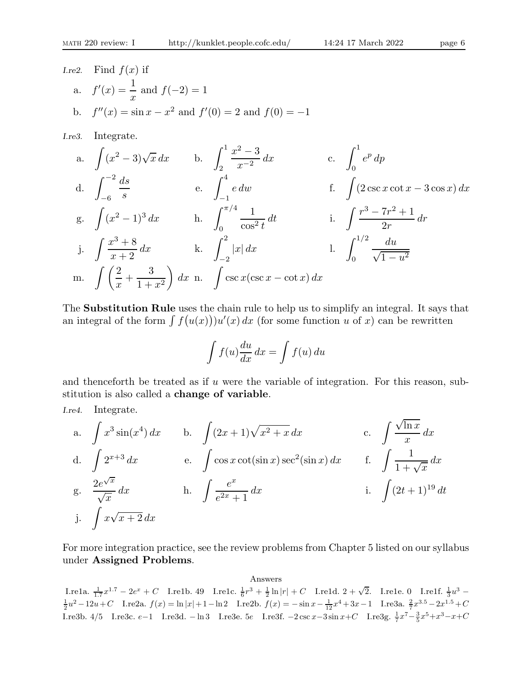*I.read.* Find 
$$
f(x)
$$
 if  
a.  $f'(x) = \frac{1}{x}$  and  $f(-2) = 1$   
b.  $f''(x) = \sin x - x^2$  and  $f'(0) = 2$  and  $f(0) = -1$ 

I.re3. Integrate.

a. 
$$
\int (x^2 - 3)\sqrt{x} dx
$$
 b.  $\int_2^1 \frac{x^2 - 3}{x^{-2}} dx$  c.  $\int_0^1 e^p dp$   
d.  $\int_{-6}^{-2} \frac{ds}{s}$  e.  $\int_{-1}^4 e dw$  f.  $\int (2 \csc x \cot x - 3 \cos x) dx$   
g.  $\int (x^2 - 1)^3 dx$  h.  $\int_0^{\pi/4} \frac{1}{\cos^2 t} dt$  i.  $\int \frac{r^3 - 7r^2 + 1}{2r} dr$   
j.  $\int \frac{x^3 + 8}{x + 2} dx$  k.  $\int_{-2}^2 |x| dx$  l.  $\int_0^{1/2} \frac{du}{\sqrt{1 - u^2}}$   
m.  $\int \left(\frac{2}{x} + \frac{3}{1 + x^2}\right) dx$  n.  $\int \csc x (\csc x - \cot x) dx$ 

The Substitution Rule uses the chain rule to help us to simplify an integral. It says that an integral of the form  $\int f(u(x))u'(x) dx$  (for some function u of x) can be rewritten

$$
\int f(u) \frac{du}{dx} dx = \int f(u) du
$$

and thenceforth be treated as if  $u$  were the variable of integration. For this reason, substitution is also called a change of variable.

I.re4. Integrate.

a. 
$$
\int x^3 \sin(x^4) dx
$$
 b.  $\int (2x+1)\sqrt{x^2+x} dx$  c.  $\int \frac{\sqrt{\ln x}}{x} dx$   
d.  $\int 2^{x+3} dx$  e.  $\int \cos x \cot(\sin x) \sec^2(\sin x) dx$  f.  $\int \frac{1}{1+\sqrt{x}} dx$   
g.  $\frac{2e^{\sqrt{x}}}{\sqrt{x}} dx$  h.  $\int \frac{e^x}{e^{2x}+1} dx$  i.  $\int (2t+1)^{19} dt$   
j.  $\int x\sqrt{x+2} dx$ 

For more integration practice, see the review problems from Chapter 5 listed on our syllabus under Assigned Problems.

Answers

Lre1a.  $\frac{1}{1.7}x^{1.7} - 2e^x + C$  Lre1b. 49 Lre1c.  $\frac{1}{6}r^3 + \frac{1}{2}\ln|r| + C$  Lre1d.  $2 + \sqrt{2}$ . Lre1e. 0 Lre1f.  $\frac{1}{3}u^3 \frac{1}{2}u^2 - 12u + C$  I.re2a.  $f(x) = \ln|x| + 1 - \ln 2$  I.re2b.  $f(x) = -\sin x - \frac{1}{12}x^4 + 3x - 1$  I.re3a.  $\frac{2}{7}x^{3.5} - 2x^{1.5} + C$ I.re3b. 4/5 I.re3c. e−1 I.re3d. − ln 3 I.re3e. 5e I.re3f. −2 csc x−3 sin x+C I.re3g.  $\frac{1}{7}x^7 - \frac{3}{5}x^5 + x^3 - x + C$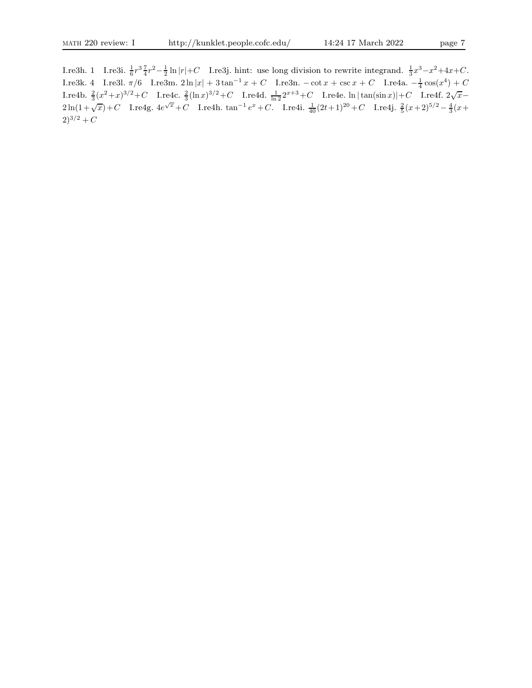I.re3h. 1 I.re3i.  $\frac{1}{6}r^3 \frac{7}{4}r^2 - \frac{1}{2} \ln |r| + C$  I.re3j. hint: use long division to rewrite integrand.  $\frac{1}{3}x^3 - x^2 + 4x + C$ . I.re3k. 4 I.re3l.  $\pi/6$  I.re3m.  $2 \ln |x| + 3 \tan^{-1} x + C$  I.re3n.  $-\cot x + \csc x + C$  I.re4a.  $-\frac{1}{4} \cos(x^4) + C$ Lre4b.  $\frac{2}{3}(x^2+x)^{3/2}+C$  Lre4c.  $\frac{2}{3}(\ln x)^{3/2}+C$  Lre4d.  $\frac{1}{\ln 2}2^{x+3}+C$  Lre4e. ln | tan(sin x)|+C Lre4f. 2√ $\overline{x}$ −  $2\ln(1+\sqrt{x})+C$  I.re4g.  $4e^{\sqrt{x}}+C$  I.re4h.  $\tan^{-1}e^x+C$ . I.re4i.  $\frac{1}{40}(2t+1)^{20}+C$  I.re4j.  $\frac{2}{5}(x+2)^{5/2}-\frac{4}{3}(x+2)^{5/2}$  $(2)^{3/2} + C$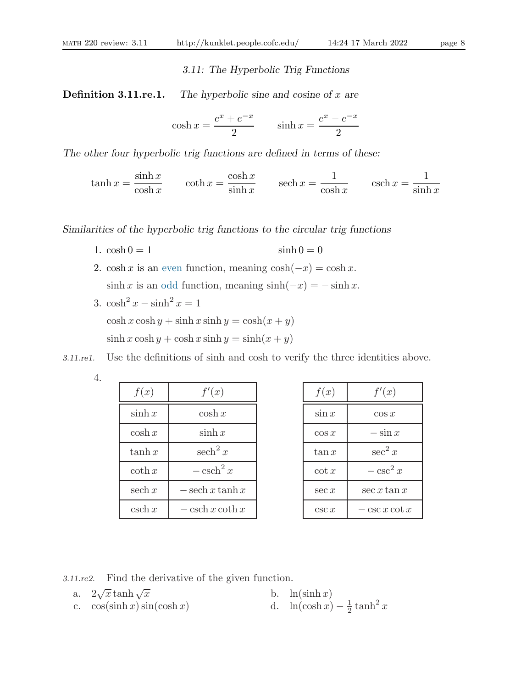3.11: The Hyperbolic Trig Functions

**Definition 3.11.re.1.** The hyperbolic sine and cosine of x are

$$
\cosh x = \frac{e^x + e^{-x}}{2} \qquad \sinh x = \frac{e^x - e^{-x}}{2}
$$

The other four hyperbolic trig functions are defined in terms of these:

 $\tanh x =$  $\sinh x$  $\cosh x$  $\coth x =$  $\cosh x$  $\sinh x$ sech  $x =$ 1  $\cosh x$  $\operatorname{csch} x =$ 1  $\sinh x$ 

Similarities of the hyperbolic trig functions to the circular trig functions

- 1.  $\cosh 0 = 1$   $\sinh 0 = 0$
- 2. cosh x is an even function, meaning  $\cosh(-x) = \cosh x$ .  $\sinh x$  is an odd function, meaning  $\sinh(-x) = -\sinh x$ .
- 3.  $\cosh^2 x \sinh^2 x = 1$  $\cosh x \cosh y + \sinh x \sinh y = \cosh(x + y)$  $\sinh x \cosh y + \cosh x \sinh y = \sinh(x + y)$

3.11.re1. Use the definitions of sinh and cosh to verify the three identities above.

4.

| f(x)                    | f'(x)                            |
|-------------------------|----------------------------------|
| $\sinh x$               | $\cosh x$                        |
| $\cosh x$               | $\sinh x$                        |
| $\tanh x$               | sech <sup>2</sup> x              |
| $\coth x$               | $-\operatorname{csch}^2 x$       |
| sech $x$                | $-\operatorname{sech} x \tanh x$ |
| $\operatorname{csch} x$ | $-\operatorname{csch} x \coth x$ |

| f(x)     | f'(x)           |
|----------|-----------------|
| $\sin x$ | $\cos x$        |
| $\cos x$ | $-\sin x$       |
| $\tan x$ | $\sec^2 x$      |
| $\cot x$ | $-\csc^2 x$     |
| $\sec x$ | $\sec x \tan x$ |
| csc x    | $\csc x \cot x$ |

3.11.re2. Find the derivative of the given function.

a.  $2\sqrt{x}$  tanh  $\sqrt{x}$ b.  $\ln(\sinh x)$ c.  $\cos(\sinh x) \sin(\cosh x)$ 1  $rac{1}{2}$  tanh<sup>2</sup> x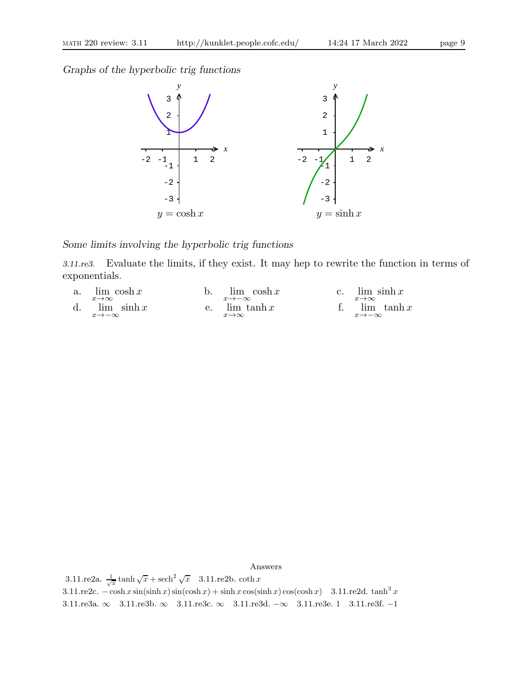Graphs of the hyperbolic trig functions



# Some limits involving the hyperbolic trig functions

3.11.re3. Evaluate the limits, if they exist. It may hep to rewrite the function in terms of exponentials.



Answers

3.11.re2a.  $\frac{1}{\sqrt{x}} \tanh \sqrt{x} + \mathrm{sech}^2 \sqrt{x}$  3.11.re2b. coth x 3.11.re2c.  $-\cosh x \sin(\sinh x) \sin(\cosh x) + \sinh x \cos(\sinh x) \cos(\cosh x)$  3.11.re2d. tanh<sup>3</sup> x 3.11.re3a. ∞ 3.11.re3b. ∞ 3.11.re3c. ∞ 3.11.re3d. −∞ 3.11.re3e. 1 3.11.re3f. −1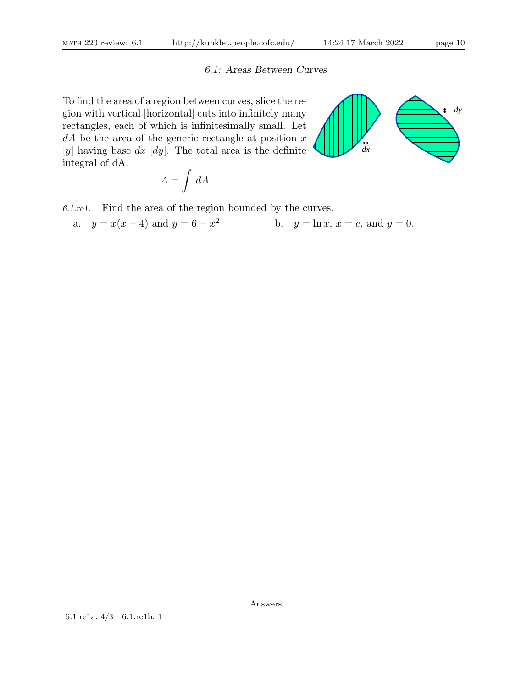6.1: Areas Between Curves

To find the area of a region between curves, slice the region with vertical [horizontal] cuts into infinitely many rectangles, each of which is infinitesimally small. Let  $dA$  be the area of the generic rectangle at position x [y] having base  $dx$  [dy]. The total area is the definite integral of dA:

$$
A=\int\,dA
$$

6.1.re1. Find the area of the region bounded by the curves.

a. 
$$
y = x(x+4)
$$
 and  $y = 6 - x^2$  b.  $y = \ln x, x = e$ , and  $y = 0$ .

Answers

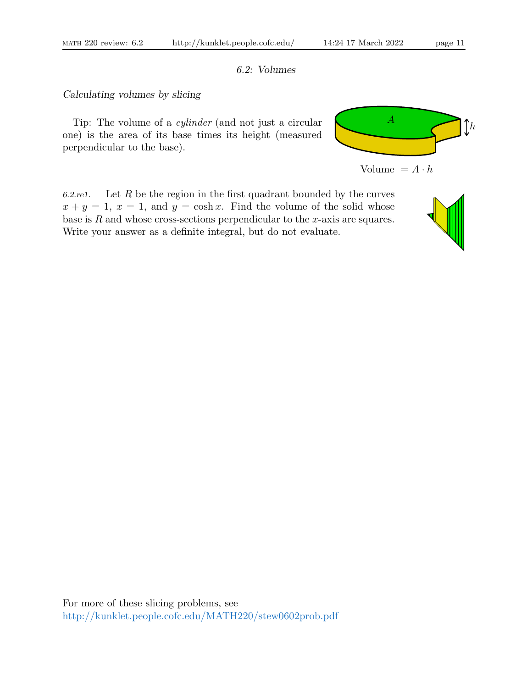# 6.2: Volumes

# Calculating volumes by slicing

Tip: The volume of a cylinder (and not just a circular one) is the area of its base times its height (measured perpendicular to the base).





6.2.re1. Let R be the region in the first quadrant bounded by the curves  $x + y = 1$ ,  $x = 1$ , and  $y = \cosh x$ . Find the volume of the solid whose base is  $R$  and whose cross-sections perpendicular to the  $x$ -axis are squares. Write your answer as a definite integral, but do not evaluate.

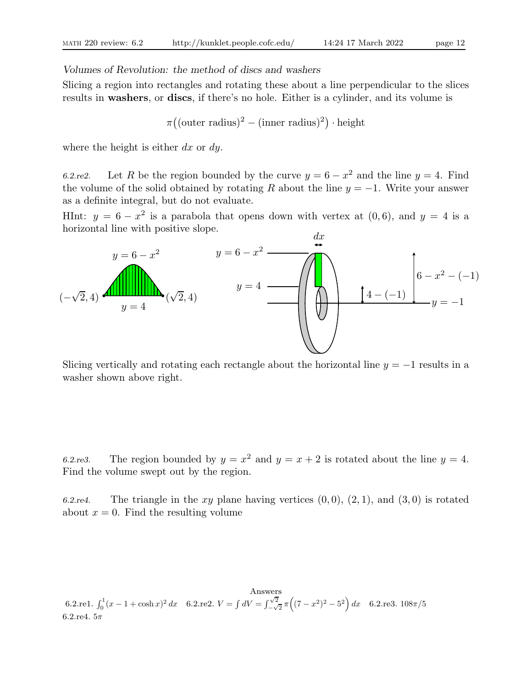# Volumes of Revolution: the method of discs and washers

Slicing a region into rectangles and rotating these about a line perpendicular to the slices results in washers, or discs, if there's no hole. Either is a cylinder, and its volume is

$$
\pi((\text{outer radius})^2 - (\text{inner radius})^2) \cdot \text{height}
$$

where the height is either  $dx$  or  $dy$ .

6.2.re2. Let R be the region bounded by the curve  $y = 6 - x^2$  and the line  $y = 4$ . Find the volume of the solid obtained by rotating R about the line  $y = -1$ . Write your answer as a definite integral, but do not evaluate.

HInt:  $y = 6 - x^2$  is a parabola that opens down with vertex at  $(0, 6)$ , and  $y = 4$  is a horizontal line with positive slope.



Slicing vertically and rotating each rectangle about the horizontal line  $y = -1$  results in a washer shown above right.

6.2.re3. The region bounded by  $y = x^2$  and  $y = x + 2$  is rotated about the line  $y = 4$ . Find the volume swept out by the region.

6.2.re4. The triangle in the xy plane having vertices  $(0, 0), (2, 1),$  and  $(3, 0)$  is rotated about  $x = 0$ . Find the resulting volume

Answers 6.2.re1.  $\int_0^1 (x - 1 + \cosh x)^2 dx$  6.2.re2.  $V = \int dV = \int_{-\sqrt{2}}^{\sqrt{2}}$  $\int_{-\sqrt{2}}^{\sqrt{2}} \pi \left( (7 - x^2)^2 - 5^2 \right) dx$  6.2.re3. 108 $\pi/5$ 6.2.re4.  $5\pi$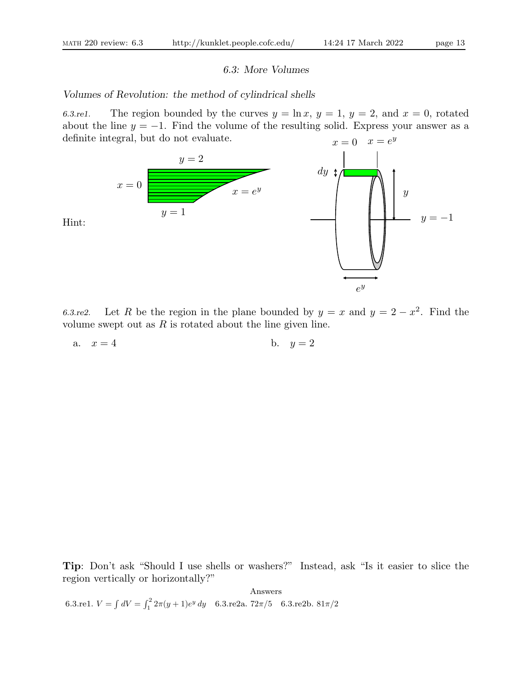Hint:

# 6.3: More Volumes

### Volumes of Revolution: the method of cylindrical shells

6.3.re1. The region bounded by the curves  $y = \ln x$ ,  $y = 1$ ,  $y = 2$ , and  $x = 0$ , rotated about the line  $y = -1$ . Find the volume of the resulting solid. Express your answer as a definite integral, but do not evaluate.  $x=0$   $x=e^y$ 



6.3.re2. Let R be the region in the plane bounded by  $y = x$  and  $y = 2 - x^2$ . Find the volume swept out as  $R$  is rotated about the line given line.

a. 
$$
x = 4
$$
 b.  $y = 2$ 

Tip: Don't ask "Should I use shells or washers?" Instead, ask "Is it easier to slice the region vertically or horizontally?"

Answers 6.3.re1.  $V = \int dV = \int_1^2 2\pi (y+1)e^y dy$  6.3.re2a. 72 $\pi/5$  6.3.re2b.  $81\pi/2$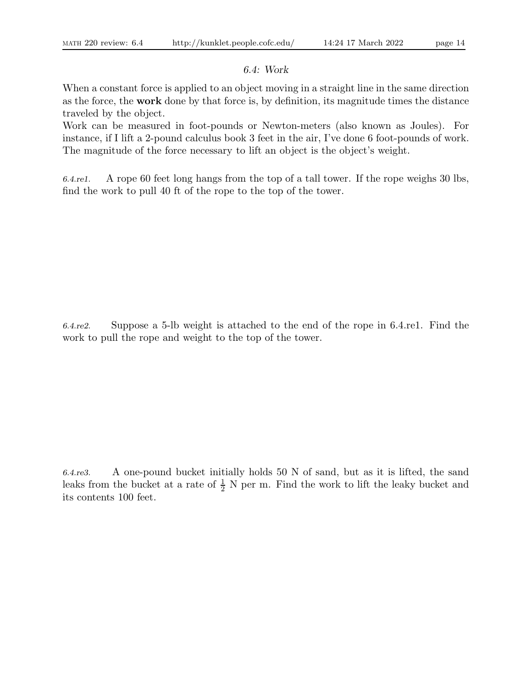# 6.4: Work

When a constant force is applied to an object moving in a straight line in the same direction as the force, the work done by that force is, by definition, its magnitude times the distance traveled by the object.

Work can be measured in foot-pounds or Newton-meters (also known as Joules). For instance, if I lift a 2-pound calculus book 3 feet in the air, I've done 6 foot-pounds of work. The magnitude of the force necessary to lift an object is the object's weight.

6.4.re1. A rope 60 feet long hangs from the top of a tall tower. If the rope weighs 30 lbs, find the work to pull 40 ft of the rope to the top of the tower.

6.4.re2. Suppose a 5-lb weight is attached to the end of the rope in 6.4.re1. Find the work to pull the rope and weight to the top of the tower.

6.4.re3. A one-pound bucket initially holds 50 N of sand, but as it is lifted, the sand leaks from the bucket at a rate of  $\frac{1}{2}$  N per m. Find the work to lift the leaky bucket and its contents 100 feet.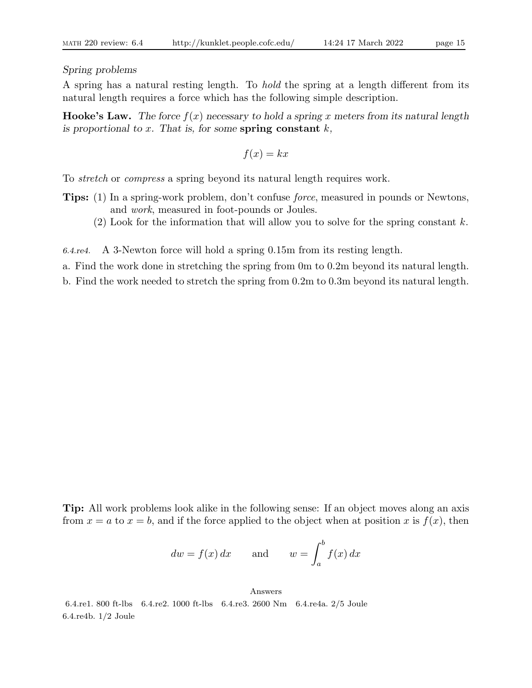### Spring problems

A spring has a natural resting length. To hold the spring at a length different from its natural length requires a force which has the following simple description.

**Hooke's Law.** The force  $f(x)$  necessary to hold a spring x meters from its natural length is proportional to x. That is, for some spring constant  $k$ ,

 $f(x) = kx$ 

To stretch or compress a spring beyond its natural length requires work.

- Tips: (1) In a spring-work problem, don't confuse force, measured in pounds or Newtons, and work, measured in foot-pounds or Joules.
	- $(2)$  Look for the information that will allow you to solve for the spring constant k.

6.4.re4. A 3-Newton force will hold a spring 0.15m from its resting length.

a. Find the work done in stretching the spring from 0m to 0.2m beyond its natural length.

b. Find the work needed to stretch the spring from 0.2m to 0.3m beyond its natural length.

Tip: All work problems look alike in the following sense: If an object moves along an axis from  $x = a$  to  $x = b$ , and if the force applied to the object when at position x is  $f(x)$ , then

$$
dw = f(x) dx
$$
 and  $w = \int_a^b f(x) dx$ 

Answers 6.4.re1. 800 ft-lbs 6.4.re2. 1000 ft-lbs 6.4.re3. 2600 Nm 6.4.re4a. 2/5 Joule 6.4.re4b. 1/2 Joule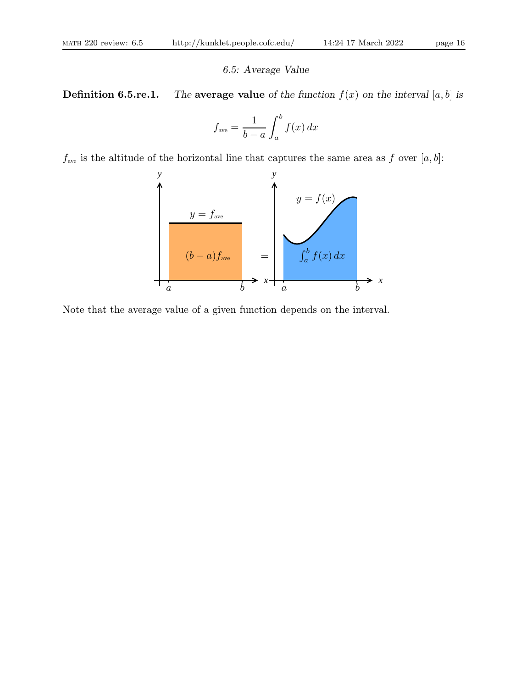#### 6.5: Average Value

**Definition 6.5.re.1.** The average value of the function  $f(x)$  on the interval [a, b] is

$$
f_{\text{ave}} = \frac{1}{b-a} \int_{a}^{b} f(x) \, dx
$$

 $f_{\text{ave}}$  is the altitude of the horizontal line that captures the same area as f over [a, b]:



Note that the average value of a given function depends on the interval.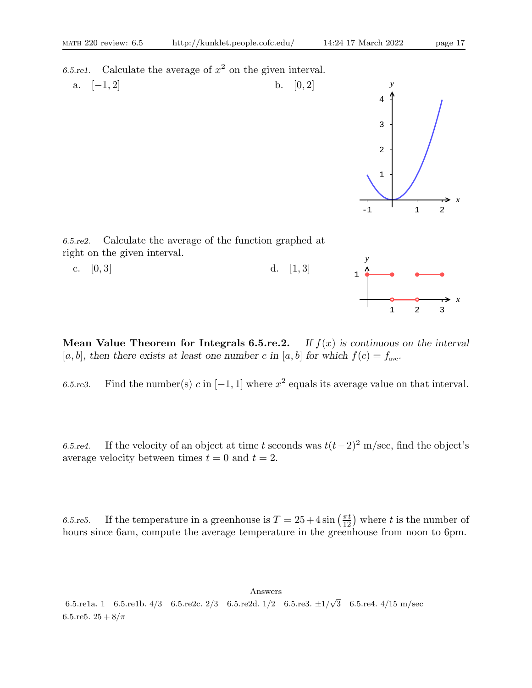6.5.re1. Calculate the average of  $x^2$  on the given interval.



**Mean Value Theorem for Integrals 6.5.re.2.** If  $f(x)$  is continuous on the interval [a, b], then there exists at least one number c in [a, b] for which  $f(c) = f_{ave}$ .

6.5.re3. Find the number(s) c in  $[-1, 1]$  where  $x^2$  equals its average value on that interval.

6.5.re4. If the velocity of an object at time t seconds was  $t(t-2)^2$  m/sec, find the object's average velocity between times  $t = 0$  and  $t = 2$ .

6.5.re5. If the temperature in a greenhouse is  $T = 25 + 4 \sin \left( \frac{\pi t}{12} \right)$  where t is the number of hours since 6am, compute the average temperature in the greenhouse from noon to 6pm.

Answers 6.5.re1a. 1 6.5.re1b.  $4/3$  6.5.re2c.  $2/3$  6.5.re2d.  $1/2$  6.5.re3.  $\pm 1/\sqrt{3}$  6.5.re4.  $4/15$  m/sec 6.5.re5.  $25 + 8/\pi$ 

*x*

1 2 3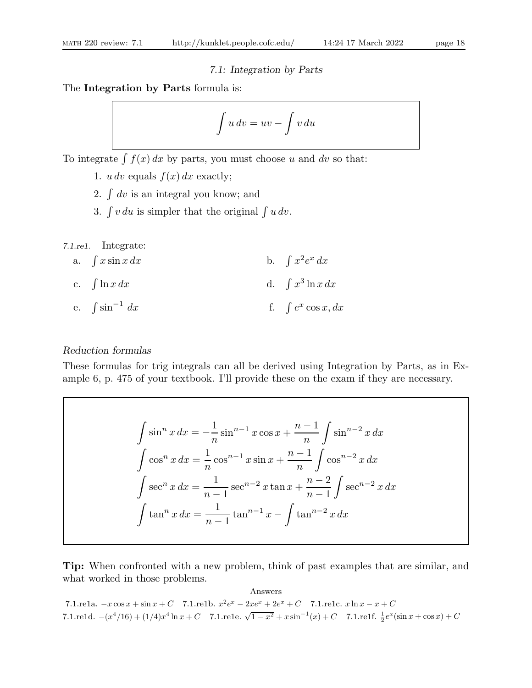### 7.1: Integration by Parts

The Integration by Parts formula is:

$$
\int u\,dv = uv - \int v\,du
$$

To integrate  $\int f(x) dx$  by parts, you must choose u and dv so that:

- 1. u dv equals  $f(x) dx$  exactly;
- 2.  $\int dv$  is an integral you know; and
- 3.  $\int v \, du$  is simpler that the original  $\int u \, dv$ .

7.1.re1. Integrate:

a.  $\int x \sin x \, dx$  b.  $x^2e^x dx$ c.  $\int \ln x \, dx$  d.  $\int$  $x^3$  ln x dx e.  $\int \sin^{-1}$ dx f.  $\int e^x \cos x, dx$ 

# Reduction formulas

These formulas for trig integrals can all be derived using Integration by Parts, as in Example 6, p. 475 of your textbook. I'll provide these on the exam if they are necessary.

$$
\int \sin^n x \, dx = -\frac{1}{n} \sin^{n-1} x \cos x + \frac{n-1}{n} \int \sin^{n-2} x \, dx
$$

$$
\int \cos^n x \, dx = \frac{1}{n} \cos^{n-1} x \sin x + \frac{n-1}{n} \int \cos^{n-2} x \, dx
$$

$$
\int \sec^n x \, dx = \frac{1}{n-1} \sec^{n-2} x \tan x + \frac{n-2}{n-1} \int \sec^{n-2} x \, dx
$$

$$
\int \tan^n x \, dx = \frac{1}{n-1} \tan^{n-1} x - \int \tan^{n-2} x \, dx
$$

Tip: When confronted with a new problem, think of past examples that are similar, and what worked in those problems.

Answers 7.1.re1a.  $-x\cos x + \sin x + C$  7.1.re1b.  $x^2e^x - 2xe^x + 2e^x + C$  7.1.re1c.  $x \ln x - x + C$ 7.1.re1d.  $-(x^4/16) + (1/4)x^4 \ln x + C$  7.1.re1e.  $\sqrt{1-x^2} + x \sin^{-1}(x) + C$  7.1.re1f.  $\frac{1}{2}e^x(\sin x + \cos x) + C$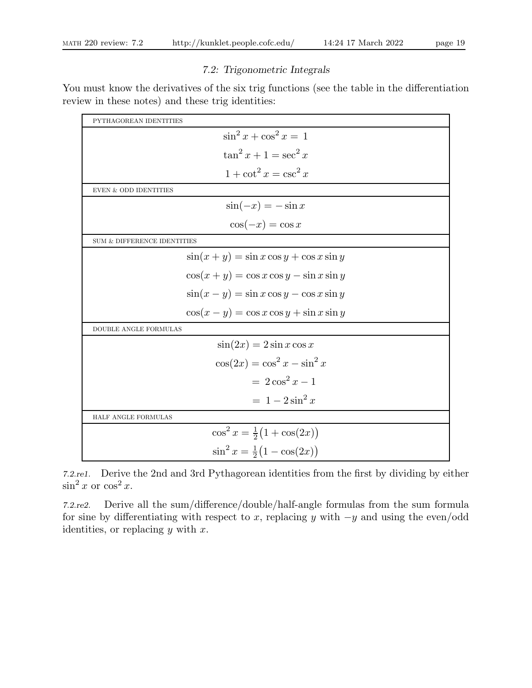# 7.2: Trigonometric Integrals

You must know the derivatives of the six trig functions (see the table in the differentiation review in these notes) and these trig identities:

| PYTHAGOREAN IDENTITIES                        |
|-----------------------------------------------|
| $\sin^2 x + \cos^2 x = 1$                     |
| $\tan^2 x + 1 = \sec^2 x$                     |
| $1 + \cot^2 x = \csc^2 x$                     |
| <b>EVEN &amp; ODD IDENTITIES</b>              |
| $\sin(-x) = -\sin x$                          |
| $\cos(-x) = \cos x$                           |
| $\mathop{\rm SUM}$ & DIFFERENCE IDENTITIES    |
| $\sin(x+y) = \sin x \cos y + \cos x \sin y$   |
| $\cos(x+y) = \cos x \cos y - \sin x \sin y$   |
| $\sin(x - y) = \sin x \cos y - \cos x \sin y$ |
| $\cos(x - y) = \cos x \cos y + \sin x \sin y$ |
| DOUBLE ANGLE FORMULAS                         |
| $\sin(2x) = 2\sin x \cos x$                   |
| $\cos(2x) = \cos^2 x - \sin^2 x$              |
| $=2\cos^2 x-1$                                |
| $= 1 - 2\sin^2 x$                             |
| HALF ANGLE FORMULAS                           |
| $\cos^2 x = \frac{1}{2}(1 + \cos(2x))$        |
| $\sin^2 x = \frac{1}{2}(1 - \cos(2x))$        |

7.2.re1. Derive the 2nd and 3rd Pythagorean identities from the first by dividing by either  $\sin^2 x$  or  $\cos^2 x$ .

7.2.re2. Derive all the sum/difference/double/half-angle formulas from the sum formula for sine by differentiating with respect to x, replacing y with  $-y$  and using the even/odd identities, or replacing  $y$  with  $x$ .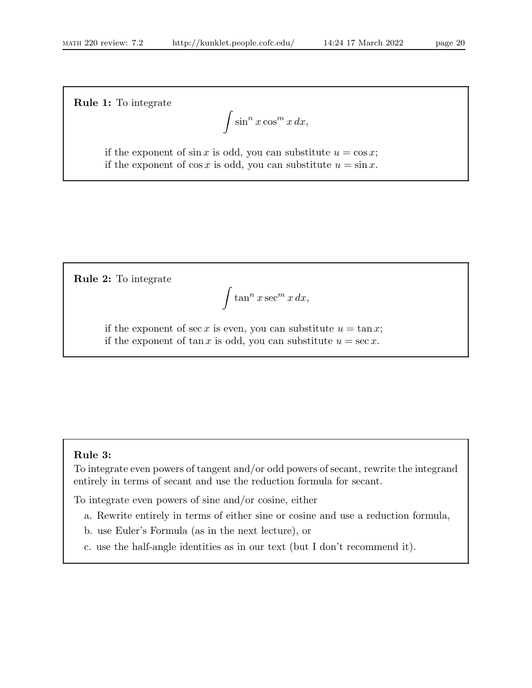Rule 1: To integrate

$$
\int \sin^n x \cos^m x \, dx,
$$

if the exponent of  $\sin x$  is odd, you can substitute  $u = \cos x$ ; if the exponent of  $\cos x$  is odd, you can substitute  $u = \sin x$ .

Rule 2: To integrate

$$
\int \tan^n x \sec^m x \, dx,
$$

if the exponent of sec x is even, you can substitute  $u = \tan x$ ; if the exponent of tan x is odd, you can substitute  $u = \sec x$ .

# Rule 3:

To integrate even powers of tangent and/or odd powers of secant, rewrite the integrand entirely in terms of secant and use the reduction formula for secant.

To integrate even powers of sine and/or cosine, either

a. Rewrite entirely in terms of either sine or cosine and use a reduction formula,

b. use Euler's Formula (as in the next lecture), or

c. use the half-angle identities as in our text (but I don't recommend it).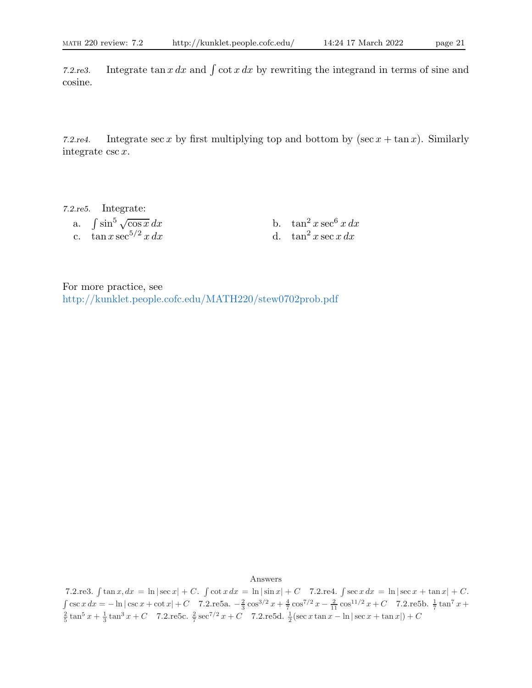7.2.re3. Integrate tan x dx and  $\int \cot x \, dx$  by rewriting the integrand in terms of sine and cosine.

7.2.re4. Integrate sec x by first multiplying top and bottom by  $(\sec x + \tan x)$ . Similarly integrate csc x.

7.2.re5. Integrate: a.  $\int \sin^5 \sqrt{ }$ c.  $\tan x \sec^{5/2} x dx$ 

b.  $\tan^2 x \sec^6 x dx$ <br>d.  $\tan^2 x \sec x dx$ 

For more practice, see http://kunklet.people.cofc.edu/MATH220/stew0702prob.pdf

Answers

7.2.re3.  $\int \tan x, dx = \ln |\sec x| + C$ .  $\int \cot x \, dx = \ln |\sin x| + C$  7.2.re4.  $\int \sec x \, dx = \ln |\sec x + \tan x| + C$ .  $\int \csc x \, dx = -\ln|\csc x + \cot x| + C$  7.2.re5a.  $-\frac{2}{3} \cos^{3/2} x + \frac{4}{7} \cos^{7/2} x - \frac{2}{11} \cos^{11/2} x + C$  7.2.re5b.  $\frac{1}{7} \tan^7 x + C$  $\frac{2}{5}$  tan<sup>5</sup> x +  $\frac{1}{3}$  tan<sup>3</sup> x + C 7.2.re5c.  $\frac{2}{7}$  sec<sup>7/2</sup> x + C 7.2.re5d.  $\frac{1}{2}$  (sec x tan x - ln | sec x + tan x|) + C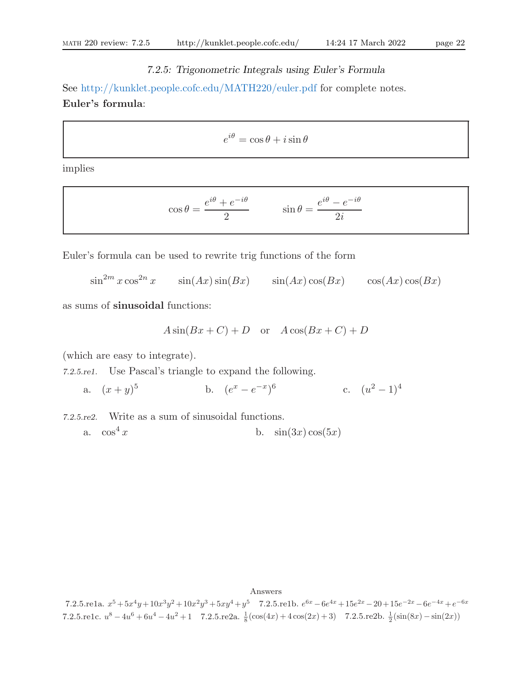# 7.2.5: Trigonometric Integrals using Euler's Formula

See http://kunklet.people.cofc.edu/MATH220/euler.pdf for complete notes. Euler's formula:

$$
e^{i\theta} = \cos\theta + i\sin\theta
$$

implies

$$
\cos \theta = \frac{e^{i\theta} + e^{-i\theta}}{2} \qquad \sin \theta = \frac{e^{i\theta} - e^{-i\theta}}{2i}
$$

Euler's formula can be used to rewrite trig functions of the form

 $\sin^{2m} x \cos^{2n} x$   $\sin(Ax) \sin(Bx)$   $\sin(Ax) \cos(Bx)$   $\cos(Ax) \cos(Bx)$ 

as sums of sinusoidal functions:

$$
A\sin(Bx+C) + D \quad \text{or} \quad A\cos(Bx+C) + D
$$

(which are easy to integrate).

7.2.5.re1. Use Pascal's triangle to expand the following.

a.  $(x+y)^5$ 5 b.  $(e^x - e^{-x})^6$  c.  $(u^2 - 1)^4$ 

7.2.5.re2. Write as a sum of sinusoidal functions.

a.  $\cos^4 x$  b.  $\sin(3x)\cos(5x)$ 

#### Answers

7.2.5.re1a.  $x^5 + 5x^4y + 10x^3y^2 + 10x^2y^3 + 5xy^4 + y^5$  7.2.5.re1b.  $e^{6x} - 6e^{4x} + 15e^{2x} - 20 + 15e^{-2x} - 6e^{-4x} + e^{-6x}$ 7.2.5.re1c.  $u^8 - 4u^6 + 6u^4 - 4u^2 + 1$  7.2.5.re2a.  $\frac{1}{8}(\cos(4x) + 4\cos(2x) + 3)$  7.2.5.re2b.  $\frac{1}{2}(\sin(8x) - \sin(2x))$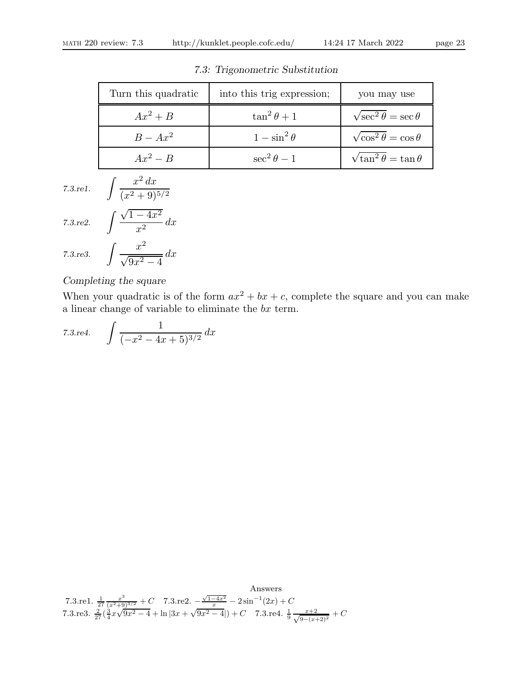| Turn this quadratic | into this trig expression; | you may use                          |
|---------------------|----------------------------|--------------------------------------|
| $Ax^2+B$            | $\tan^2\theta+1$           | $\sqrt{\sec^2 \theta} = \sec \theta$ |
| $B - Ax^2$          | $1-\sin^2\theta$           | $\sqrt{\cos^2\theta} = \cos\theta$   |
| $Ax^2 - B$          | $\sec^2 \theta - 1$        | $\sqrt{\tan^2\theta} = \tan\theta$   |

7.3: Trigonometric Substitution

7.3.re1.  $\int \frac{x^2 dx}{(x^2 + 3x + 3)^2}$ 

7.3.re2.  $\int \frac{\sqrt{1-4x^2}}{x^2}$  $\frac{1}{x^2} dx$ 

7.3. re3. 
$$
\int \frac{x^2}{\sqrt{9x^2 - 4}} dx
$$

#### Completing the square

When your quadratic is of the form  $ax^2 + bx + c$ , complete the square and you can make a linear change of variable to eliminate the  $bx$  term.

7.3. re4.  $\int \frac{1}{(2.3-1)^2}$  $\frac{1}{(-x^2-4x+5)^{3/2}} dx$ 

 $(x^2+9)^{5/2}$ 

Answers 7.3.re1.  $\frac{1}{27} \frac{x^3}{(x^2+9)^{3/2}} + C$  7.3.re2.  $-\frac{\sqrt{1-4x^2}}{x} - 2\sin^{-1}(2x) + C$ 7.3.re3.  $\frac{2}{27}(\frac{3}{4}x\sqrt{9x^2-4}+\ln|3x+\sqrt{9x^2-4}|)+C$  7.3.re4.  $\frac{1}{9}\frac{x+2}{\sqrt{9-(x+2)^2}}+C$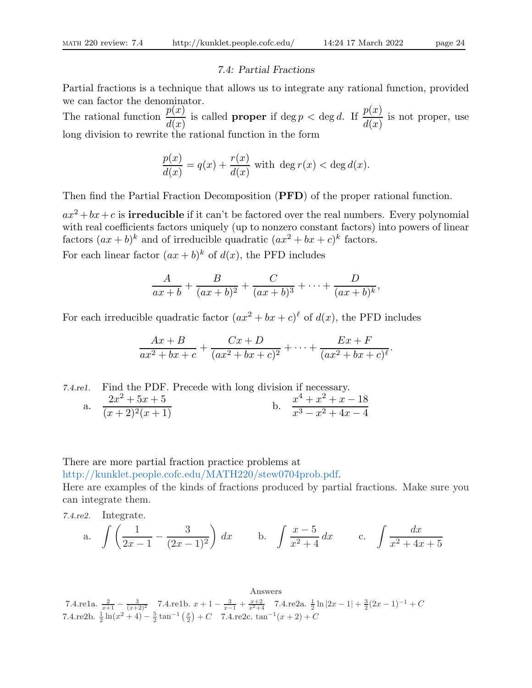### 7.4: Partial Fractions

Partial fractions is a technique that allows us to integrate any rational function, provided we can factor the denominator.

The rational function  $\frac{p(x)}{p(x)}$  $d(x)$ is called **proper** if deg  $p <$  deg d. If  $\frac{p(x)}{p(x)}$  $d(x)$ is not proper, use long division to rewrite the rational function in the form

$$
\frac{p(x)}{d(x)} = q(x) + \frac{r(x)}{d(x)}
$$
 with  $\deg r(x) < \deg d(x)$ .

Then find the Partial Fraction Decomposition (PFD) of the proper rational function.

 $ax^2+bx+c$  is **irreducible** if it can't be factored over the real numbers. Every polynomial with real coefficients factors uniquely (up to nonzero constant factors) into powers of linear factors  $(ax + b)^k$  and of irreducible quadratic  $(ax^2 + bx + c)^k$  factors.

For each linear factor  $(ax + b)^k$  of  $d(x)$ , the PFD includes

$$
\frac{A}{ax+b}+\frac{B}{(ax+b)^2}+\frac{C}{(ax+b)^3}+\cdots+\frac{D}{(ax+b)^k},
$$

For each irreducible quadratic factor  $(ax^2 + bx + c)$ <sup> $\ell$ </sup> of  $d(x)$ , the PFD includes

$$
\frac{Ax+B}{ax^2+bx+c}+\frac{Cx+D}{(ax^2+bx+c)^2}+\cdots+\frac{Ex+F}{(ax^2+bx+c)^{\ell}}.
$$

7.4.re1. Find the PDF. Precede with long division if necessary. a.  $\frac{2x^2 + 5x + 5}{(x+2)^2(x+1)}$  b.  $\frac{x}{x}$  $x^4 + x^2 + x - 18$  $x^3 - x^2 + 4x - 4$ 

There are more partial fraction practice problems at

http://kunklet.people.cofc.edu/MATH220/stew0704prob.pdf.

Here are examples of the kinds of fractions produced by partial fractions. Make sure you can integrate them.

7.4.re2. Integrate.

a. 
$$
\int \left(\frac{1}{2x-1} - \frac{3}{(2x-1)^2}\right) dx
$$
 b.  $\int \frac{x-5}{x^2+4} dx$  c.  $\int \frac{dx}{x^2+4x+5}$ 

Answers 7.4.re1a.  $\frac{2}{x+1} - \frac{3}{(x+2)^2}$  7.4.re1b.  $x + 1 - \frac{3}{x-1} + \frac{x+2}{x^2+4}$  7.4.re2a.  $\frac{1}{2} \ln |2x-1| + \frac{3}{2} (2x-1)^{-1} + C$ 7.4.re2b.  $\frac{1}{2}\ln(x^2+4)-\frac{5}{2}\tan^{-1}\left(\frac{x}{2}\right)+C$  7.4.re2c.  $\tan^{-1}(x+2)+C$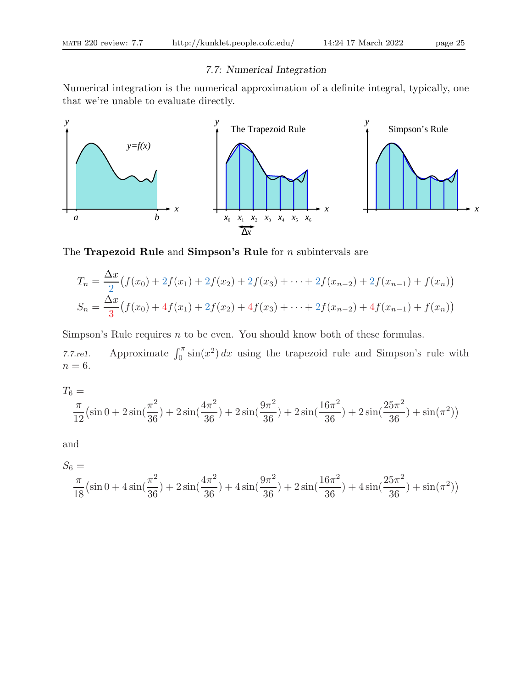# 7.7: Numerical Integration

Numerical integration is the numerical approximation of a definite integral, typically, one that we're unable to evaluate directly.



The **Trapezoid Rule** and **Simpson's Rule** for  $n$  subintervals are

$$
T_n = \frac{\Delta x}{2} \left( f(x_0) + 2f(x_1) + 2f(x_2) + 2f(x_3) + \dots + 2f(x_{n-2}) + 2f(x_{n-1}) + f(x_n) \right)
$$
  
\n
$$
S_n = \frac{\Delta x}{3} \left( f(x_0) + 4f(x_1) + 2f(x_2) + 4f(x_3) + \dots + 2f(x_{n-2}) + 4f(x_{n-1}) + f(x_n) \right)
$$

Simpson's Rule requires n to be even. You should know both of these formulas.

7.7.re1. Approximate  $\int_0^{\pi} \sin(x^2) dx$  using the trapezoid rule and Simpson's rule with  $n=6$ .

$$
T_6 = \frac{\pi}{12} \left( \sin 0 + 2 \sin \left( \frac{\pi^2}{36} \right) + 2 \sin \left( \frac{4\pi^2}{36} \right) + 2 \sin \left( \frac{9\pi^2}{36} \right) + 2 \sin \left( \frac{16\pi^2}{36} \right) + 2 \sin \left( \frac{25\pi^2}{36} \right) + \sin \left( \pi^2 \right) \right)
$$

and

$$
S_6 = \frac{\pi}{18} \left( \sin 0 + 4 \sin \left( \frac{\pi^2}{36} \right) + 2 \sin \left( \frac{4\pi^2}{36} \right) + 4 \sin \left( \frac{9\pi^2}{36} \right) + 2 \sin \left( \frac{16\pi^2}{36} \right) + 4 \sin \left( \frac{25\pi^2}{36} \right) + \sin \left( \pi^2 \right) \right)
$$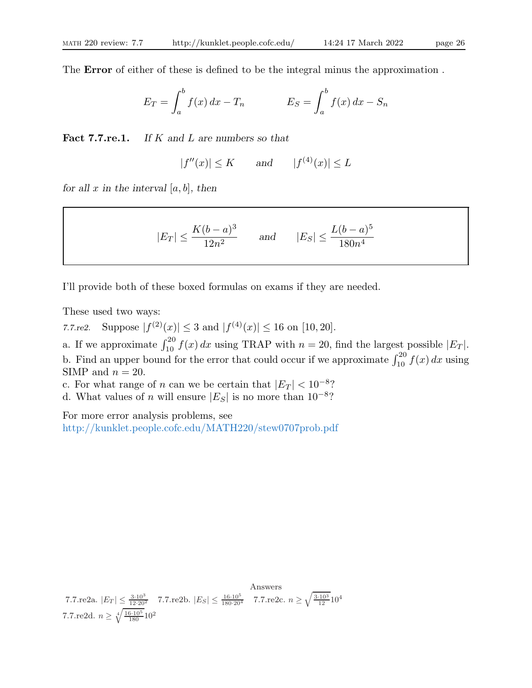The Error of either of these is defined to be the integral minus the approximation .

$$
E_T = \int_a^b f(x) dx - T_n \qquad \qquad E_S = \int_a^b f(x) dx - S_n
$$

Fact 7.7.re.1. If  $K$  and  $L$  are numbers so that

$$
|f''(x)| \le K \qquad \text{and} \qquad |f^{(4)}(x)| \le L
$$

for all x in the interval  $[a, b]$ , then

$$
|E_T| \le \frac{K(b-a)^3}{12n^2}
$$
 and  $|E_S| \le \frac{L(b-a)^5}{180n^4}$ 

I'll provide both of these boxed formulas on exams if they are needed.

These used two ways:

7.7.re2. Suppose  $|f^{(2)}(x)| \leq 3$  and  $|f^{(4)}(x)| \leq 16$  on [10, 20].

a. If we approximate  $\int_{10}^{20} f(x) dx$  using TRAP with  $n = 20$ , find the largest possible  $|E_T|$ . b. Find an upper bound for the error that could occur if we approximate  $\int_{10}^{20} f(x) dx$  using SIMP and  $n = 20$ .

c. For what range of n can we be certain that  $|E_T| < 10^{-8}$ ?

d. What values of *n* will ensure  $|E_S|$  is no more than  $10^{-8}$ ?

For more error analysis problems, see http://kunklet.people.cofc.edu/MATH220/stew0707prob.pdf

Answers 7.7.re2a.  $|E_T| \leq \frac{3 \cdot 10^3}{12 \cdot 20^2}$  7.7.re2b.  $|E_S| \leq \frac{16 \cdot 10^5}{180 \cdot 20^4}$  7.7.re2c.  $n \geq \sqrt{\frac{3 \cdot 10^3}{12}} 10^4$ 7.7.re2d.  $n \geq \sqrt[4]{\frac{16 \cdot 10^5}{180}} 10^2$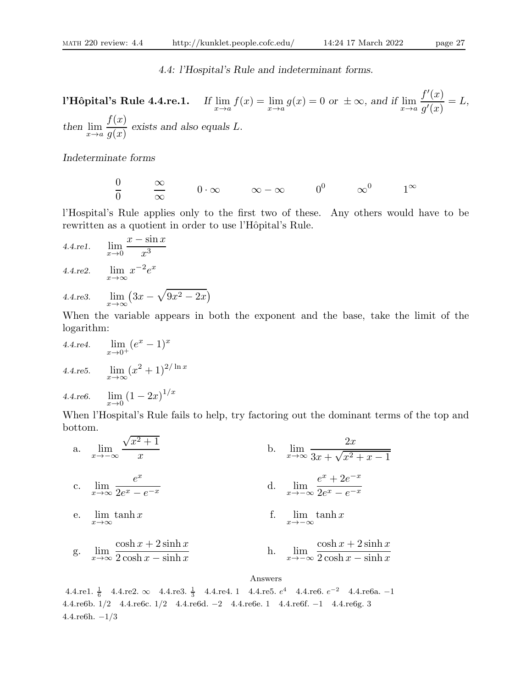4.4: l'Hospital's Rule and indeterminant forms.

l'Hôpital's Rule 4.4.re.1. If  $\lim_{x \to a} f(x) = \lim_{x \to a} g(x) = 0$  or  $\pm \infty$ , and if  $\lim_{x \to a}$  $f'(x)$  $g^\prime(x)$  $=L,$ then  $\lim_{x\to a}$  $f(x)$  $g(x)$ exists and also equals L.

Indeterminate forms

 $\theta$  $\theta$  $\frac{\infty}{\frac{1}{\infty}}$ ∞  $0 \cdot \infty$   $\infty - \infty$   $0^0$   $\infty^0$  $1^{\infty}$ 

l'Hospital's Rule applies only to the first two of these. Any others would have to be rewritten as a quotient in order to use l'Hôpital's Rule.

4.4.rel. 
$$
\lim_{x \to 0} \frac{x - \sin x}{x^3}
$$
  
4.4.req. 
$$
\lim_{x \to \infty} x^{-2} e^x
$$

4.4.1.23. 
$$
\lim_{x \to \infty} (3x - \sqrt{9x^2 - 2x})
$$

When the variable appears in both the exponent and the base, take the limit of the logarithm:

4.4.red. 
$$
\lim_{x \to 0^+} (e^x - 1)^x
$$
  
4.4.red. 
$$
\lim_{x \to \infty} (x^2 + 1)^{2/\ln x}
$$

4.4. 
$$
4.4 \text{ re6.}
$$
  $\lim_{x \to 0} (1 - 2x)^{1/x}$ 

When l'Hospital's Rule fails to help, try factoring out the dominant terms of the top and bottom.

a. 
$$
\lim_{x \to -\infty} \frac{\sqrt{x^2 + 1}}{x}
$$
  
\nb.  $\lim_{x \to \infty} \frac{2x}{3x + \sqrt{x^2 + x - 1}}$   
\nc.  $\lim_{x \to \infty} \frac{e^x}{2e^x - e^{-x}}$   
\nd.  $\lim_{x \to -\infty} \frac{e^x + 2e^{-x}}{2e^x - e^{-x}}$   
\ne.  $\lim_{x \to \infty} \tanh x$   
\nf.  $\lim_{x \to -\infty} \tanh x$   
\ng.  $\lim_{x \to \infty} \frac{\cosh x + 2\sinh x}{2\cosh x - \sinh x}$   
\nh.  $\lim_{x \to -\infty} \frac{\cosh x + 2\sinh x}{2\cosh x - \sinh x}$ 

Answers

4.4.re1.  $\frac{1}{6}$  4.4.re2. ∞ 4.4.re3.  $\frac{1}{3}$  4.4.re4. 1 4.4.re5.  $e^4$  4.4.re6.  $e^{-2}$  4.4.re6a. -1 4.4.re6b. 1/2 4.4.re6c. 1/2 4.4.re6d. −2 4.4.re6e. 1 4.4.re6f. −1 4.4.re6g. 3 4.4.re6h. −1/3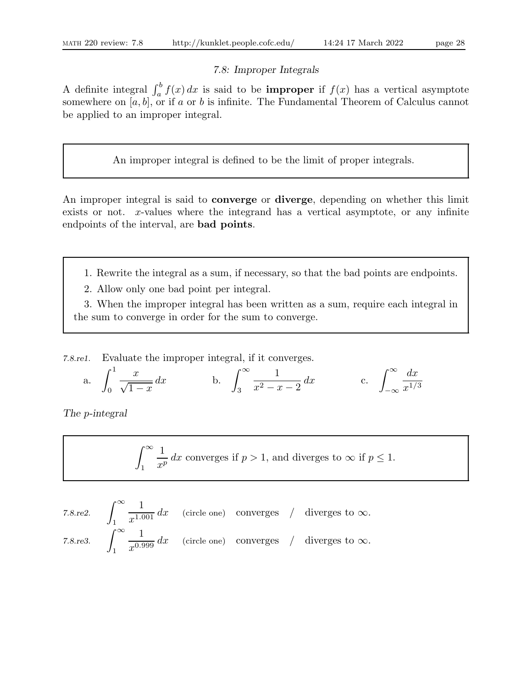# 7.8: Improper Integrals

A definite integral  $\int_a^b f(x) dx$  is said to be **improper** if  $f(x)$  has a vertical asymptote somewhere on  $[a, b]$ , or if a or b is infinite. The Fundamental Theorem of Calculus cannot be applied to an improper integral.

An improper integral is defined to be the limit of proper integrals.

An improper integral is said to converge or diverge, depending on whether this limit exists or not. x-values where the integrand has a vertical asymptote, or any infinite endpoints of the interval, are bad points.

- 1. Rewrite the integral as a sum, if necessary, so that the bad points are endpoints.
- 2. Allow only one bad point per integral.

3. When the improper integral has been written as a sum, require each integral in the sum to converge in order for the sum to converge.

7.8.re1. Evaluate the improper integral, if it converges.

a. 
$$
\int_0^1 \frac{x}{\sqrt{1-x}} dx
$$
 b.  $\int_3^\infty \frac{1}{x^2 - x - 2} dx$  c.  $\int_{-\infty}^\infty \frac{dx}{x^{1/3}}$ 

The p-integral

$$
\int_{1}^{\infty} \frac{1}{x^p} dx
$$
 converges if  $p > 1$ , and diverges to  $\infty$  if  $p \le 1$ .

7.8.re2. 
$$
\int_{1}^{\infty} \frac{1}{x^{1.001}} dx
$$
 (circle one) converges / diverges to  $\infty$ .  
7.8.re3. 
$$
\int_{1}^{\infty} \frac{1}{x^{0.999}} dx
$$
 (circle one) converges / diverges to  $\infty$ .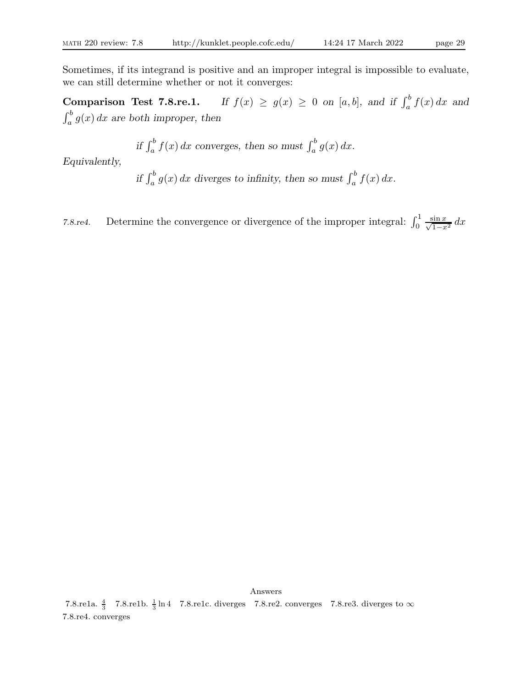Sometimes, if its integrand is positive and an improper integral is impossible to evaluate, we can still determine whether or not it converges:

**Comparison Test 7.8.re.1.** If  $f(x) \ge g(x) \ge 0$  on [a, b], and if  $\int_a^b f(x) dx$  and  $\int_a^b g(x) dx$  are both improper, then

if 
$$
\int_a^b f(x) dx
$$
 converges, then so must  $\int_a^b g(x) dx$ .

Equivalently,

if  $\int_a^b g(x) dx$  diverges to infinity, then so must  $\int_a^b f(x) dx$ .

7.8.re4. Determine the convergence or divergence of the improper integral:  $\int_0^1 \frac{\sin x}{\sqrt{1-x}}$  $\frac{\sin x}{1-x^2} dx$ 

Answers 7.8.re1a.  $\frac{4}{3}$  7.8.re1b.  $\frac{1}{3}$  ln 4 7.8.re1c. diverges 7.8.re2. converges 7.8.re3. diverges to  $\infty$ 

7.8.re4. converges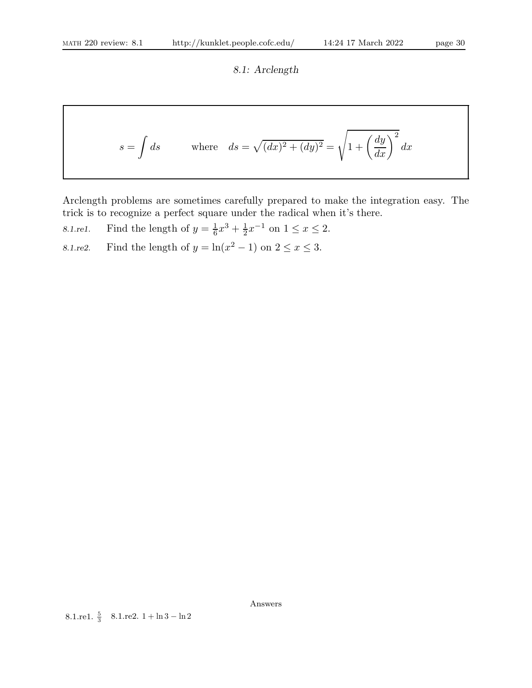8.1: Arclength

$$
s = \int ds
$$
 where  $ds = \sqrt{(dx)^2 + (dy)^2} = \sqrt{1 + \left(\frac{dy}{dx}\right)^2} dx$ 

Arclength problems are sometimes carefully prepared to make the integration easy. The trick is to recognize a perfect square under the radical when it's there.

8.1.rel. Find the length of 
$$
y = \frac{1}{6}x^3 + \frac{1}{2}x^{-1}
$$
 on  $1 \le x \le 2$ .

8.1.re2. Find the length of  $y = \ln(x^2 - 1)$  on  $2 \le x \le 3$ .

Answers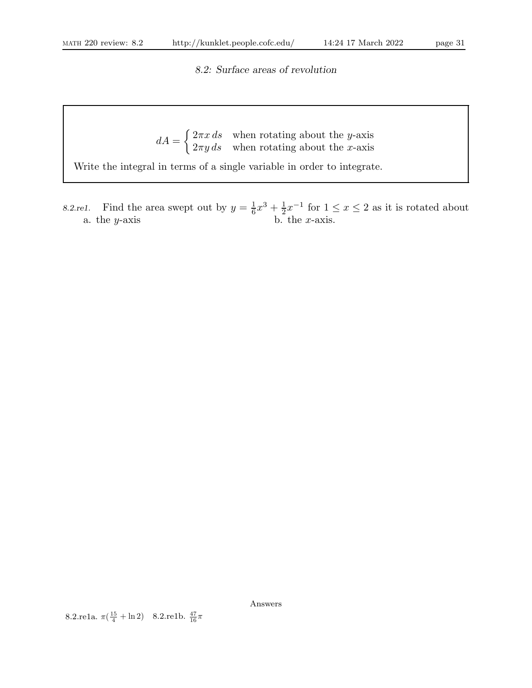8.2: Surface areas of revolution

 $dA =$  $\int 2\pi x \, ds$  when rotating about the y-axis  $2\pi y \, ds$  when rotating about the x-axis

Write the integral in terms of a single variable in order to integrate.

8.2.re1. Find the area swept out by  $y = \frac{1}{6}$  $\frac{1}{6}x^3 + \frac{1}{2}$  $\frac{1}{2}x^{-1}$  for  $1 \leq x \leq 2$  as it is rotated about a. the  $y$ -axis b. the  $x$ -axis.

Answers

8.2.re1a.  $\pi(\frac{15}{4} + \ln 2)$  8.2.re1b.  $\frac{47}{16}\pi$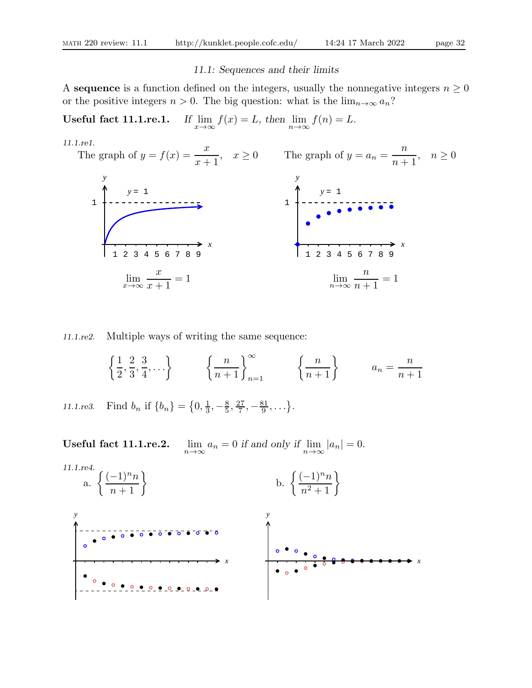# 11.1: Sequences and their limits

A sequence is a function defined on the integers, usually the nonnegative integers  $n \geq 0$ or the positive integers  $n > 0$ . The big question: what is the  $\lim_{n\to\infty} a_n$ ?

Useful fact  $11.1$ .re.1.  $f(x) = L$ , then  $\lim_{n \to \infty} f(n) = L$ .



11.1.re2. Multiple ways of writing the same sequence:

 $\int$  1 2 , 2 3 , 3 4  $, \ldots \} \qquad \left\{ \frac{n}{n+1} \right\}_{n=1}^{\infty}$  $\left\{\frac{n}{n+1}\right\}$   $a_n =$ n  $n+1$ 

11.1.re3. Find  $b_n$  if  $\{b_n\} = \{0, \frac{1}{3}\}$  $\frac{1}{3}, -\frac{8}{5}$  $\frac{8}{5}, \frac{27}{7}$  $\frac{27}{7}, -\frac{81}{9}$  $\frac{31}{9}, \ldots \}$ .

Useful fact 11.1.re.2.  $a_n = 0$  if and only if  $\lim_{n \to \infty} |a_n| = 0$ . 11.1.re4. a.  $\left\{\frac{(-1)^n n}{n+1}\right\}$ b.  $\left\{\frac{(-1)^n n}{n^2 + 1}\right\}$  $\overline{\bullet}$   $\overline{\bullet}$   $\overline{\bullet}$   $\overline{\bullet}$   $\overline{\bullet}$   $\overline{\bullet}$   $\overline{\bullet}$   $\overline{\bullet}$   $\overline{\bullet}$   $\overline{\bullet}$   $\overline{\bullet}$   $\overline{\bullet}$   $\overline{\bullet}$   $\overline{\bullet}$   $\overline{\bullet}$   $\overline{\bullet}$   $\overline{\bullet}$   $\overline{\bullet}$   $\overline{\bullet}$   $\overline{\bullet}$   $\overline{\bullet}$   $\overline{\bullet}$   $\overline{\bullet}$   $\overline{\bullet}$   $\overline{\$ *y y*

*x*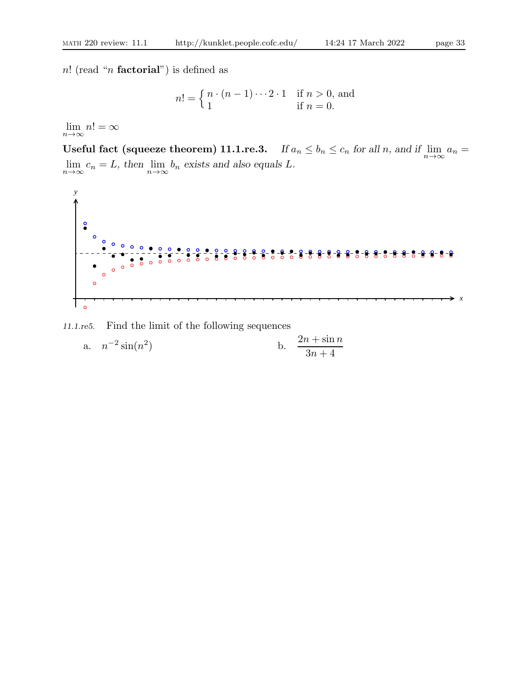n! (read "n **factorial**") is defined as

$$
n! = \begin{cases} n \cdot (n-1) \cdots 2 \cdot 1 & \text{if } n > 0, \text{ and} \\ 1 & \text{if } n = 0. \end{cases}
$$

 $\lim_{n\to\infty} n! = \infty$ 

Useful fact (squeeze theorem) 11.1.re.3. If  $a_n \le b_n \le c_n$  for all n, and if  $\lim_{n \to \infty} a_n =$  $\lim_{n \to \infty} c_n = L$ , then  $\lim_{n \to \infty} b_n$  exists and also equals L.



11.1.re5. Find the limit of the following sequences

a. 
$$
n^{-2}\sin(n^2)
$$
 b.  $\frac{2n + \sin n}{3n + 4}$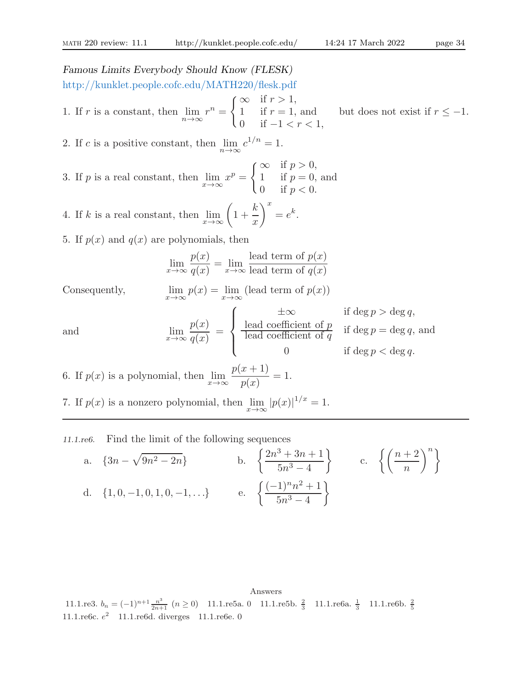Famous Limits Everybody Should Know (FLESK)

http://kunklet.people.cofc.edu/MATH220/flesk.pdf 1. If r is a constant, then  $\lim_{n\to\infty} r^n =$  $\int \infty$  if  $r > 1$ , 1 if  $r = 1$ , and 0 if  $-1 < r < 1$ , but does not exist if  $r \leq -1$ . 2. If c is a positive constant, then  $\lim_{n\to\infty} c^{1/n} = 1$ . 3. If p is a real constant, then  $\lim_{x \to \infty} x^p =$  $\int_{0}^{\infty}$  if  $p > 0$ , 1 if  $p = 0$ , and 0 if  $p < 0$ . k  $\setminus^x$ 

4. If k is a real constant, then  $\lim_{x\to\infty}$  $1 +$  $\boldsymbol{x}$  $=e^k.$ 

5. If  $p(x)$  and  $q(x)$  are polynomials, then

$$
\lim_{x \to \infty} \frac{p(x)}{q(x)} = \lim_{x \to \infty} \frac{\text{lead term of } p(x)}{\text{lead term of } q(x)}
$$

Consequently,  $p(x) = \lim_{x \to \infty} (\text{lead term of } p(x))$ 

and 
$$
\lim_{x \to \infty} \frac{p(x)}{q(x)} = \begin{cases} \frac{\pm \infty}{\pm \infty} & \text{if } \deg p > \deg q, \\ \frac{\text{lead coefficient of } p}{\text{lead coefficient of } q} & \text{if } \deg p = \deg q, \text{ and } \\ 0 & \text{if } \deg p < \deg q. \end{cases}
$$

6. If  $p(x)$  is a polynomial, then  $\lim_{x\to\infty}$  $p(x+1)$  $p(x)$  $= 1.$ 

7. If  $p(x)$  is a nonzero polynomial, then  $\lim_{x \to \infty} |p(x)|^{1/x} = 1$ .

11.1.re6. Find the limit of the following sequences

a. 
$$
\{3n - \sqrt{9n^2 - 2n}\}
$$
  
b.  $\left\{\frac{2n^3 + 3n + 1}{5n^3 - 4}\right\}$   
c.  $\left\{\left(\frac{n+2}{n}\right)^n\right\}$   
d.  $\{1, 0, -1, 0, 1, 0, -1, ...\}$   
e.  $\left\{\frac{(-1)^n n^2 + 1}{5n^3 - 4}\right\}$ 

Answers 11.1.re3.  $b_n = (-1)^{n+1} \frac{n^3}{2n+1}$  ( $n \ge 0$ ) 11.1.re5a. 0 11.1.re5b.  $\frac{2}{3}$  11.1.re6a.  $\frac{1}{3}$  11.1.re6b.  $\frac{2}{5}$ 11.1.re6c.  $e^2$  11.1.re6d. diverges 11.1.re6e. 0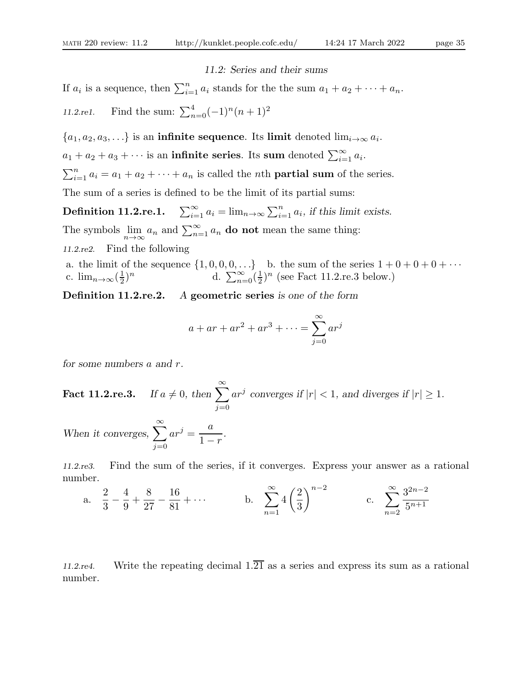#### 11.2: Series and their sums

If  $a_i$  is a sequence, then  $\sum_{i=1}^n a_i$  stands for the the sum  $a_1 + a_2 + \cdots + a_n$ . 11.2.re1. Find the sum:  $\sum_{n=0}^{4} (-1)^n (n+1)^2$ 

 $\{a_1, a_2, a_3, \ldots\}$  is an **infinite sequence**. Its **limit** denoted  $\lim_{i\to\infty} a_i$ .  $a_1 + a_2 + a_3 + \cdots$  is an **infinite series**. Its sum denoted  $\sum_{i=1}^{\infty} a_i$ .  $\sum_{i=1}^{n} a_i = a_1 + a_2 + \cdots + a_n$  is called the *n*th **partial sum** of the series. The sum of a series is defined to be the limit of its partial sums:

Definition 11.2.re.1.  $\sum_{i=1}^{\infty} a_i = \lim_{n \to \infty} \sum_{i=1}^n a_i$ , if this limit exists. The symbols  $\lim_{n \to \infty} a_n$  and  $\sum_{n=1}^{\infty} a_n$  do not mean the same thing: 11.2.re2. Find the following

a. the limit of the sequence  $\{1, 0, 0, 0, \ldots\}$  b. the sum of the series  $1 + 0 + 0 + 0 + \cdots$ c.  $\lim_{n\to\infty}(\frac{1}{2})$  $\frac{1}{2})^n$  d.  $\sum_{n=0}^{\infty} (\frac{1}{2})^n$  $\frac{1}{2}$ <sup>n</sup> (see Fact 11.2.re.3 below.)

Definition 11.2.re.2. A geometric series is one of the form

$$
a + ar + ar2 + ar3 + \dots = \sum_{j=0}^{\infty} arj
$$

for some numbers a and r.

Fact 11.2.re.3. If  $a \neq 0$ , then  $\sum^{\infty}$  $j=0$  $ar^j$  converges if  $|r| < 1$ , and diverges if  $|r| \ge 1$ .

When it converges,  $\sum_{n=1}^{\infty}$  $j=0$  $ar^j = \frac{a}{1}$  $1 - r$ .

11.2.re3. Find the sum of the series, if it converges. Express your answer as a rational number.

a. 
$$
\frac{2}{3} - \frac{4}{9} + \frac{8}{27} - \frac{16}{81} + \cdots
$$
 b.  $\sum_{n=1}^{\infty} 4\left(\frac{2}{3}\right)^{n-2}$  c.  $\sum_{n=2}^{\infty} \frac{3^{2n-2}}{5^{n+1}}$ 

11.2.re4. Write the repeating decimal  $1.\overline{21}$  as a series and express its sum as a rational number.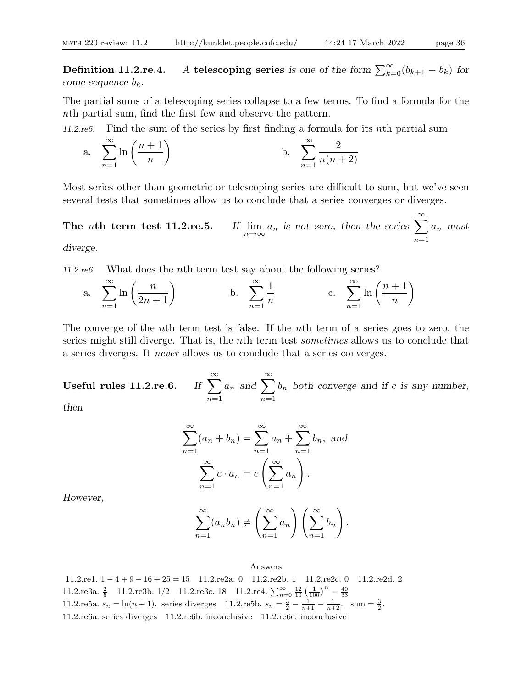**Definition 11.2.re.4.** A telescoping series is one of the form  $\sum_{k=0}^{\infty} (b_{k+1} - b_k)$  for some sequence  $b_k$ .

The partial sums of a telescoping series collapse to a few terms. To find a formula for the nth partial sum, find the first few and observe the pattern.

11.2.re5. Find the sum of the series by first finding a formula for its nth partial sum.

a. 
$$
\sum_{n=1}^{\infty} \ln\left(\frac{n+1}{n}\right)
$$
 b. 
$$
\sum_{n=1}^{\infty} \frac{2}{n(n+2)}
$$

Most series other than geometric or telescoping series are difficult to sum, but we've seen several tests that sometimes allow us to conclude that a series converges or diverges.

The nth term test  $11.2$ .re.5.  $a_n$  is not zero, then the series  $\sum_{n=1}^{\infty}$  $n=1$  $a_n$  must

diverge.

11.2.re6. What does the nth term test say about the following series?

a. 
$$
\sum_{n=1}^{\infty} \ln\left(\frac{n}{2n+1}\right)
$$
 b.  $\sum_{n=1}^{\infty} \frac{1}{n}$  c.  $\sum_{n=1}^{\infty} \ln\left(\frac{n+1}{n}\right)$ 

The converge of the nth term test is false. If the nth term of a series goes to zero, the series might still diverge. That is, the nth term test sometimes allows us to conclude that a series diverges. It never allows us to conclude that a series converges.

Useful rules  $11.2$ .re.6.  $n=1$  $a_n$  and  $\sum_{n=1}^{\infty}$  $n=1$  $b_n$  both converge and if c is any number,

then

$$
\sum_{n=1}^{\infty} (a_n + b_n) = \sum_{n=1}^{\infty} a_n + \sum_{n=1}^{\infty} b_n, \text{ and}
$$

$$
\sum_{n=1}^{\infty} c \cdot a_n = c \left( \sum_{n=1}^{\infty} a_n \right).
$$

However,

$$
\sum_{n=1}^{\infty} (a_n b_n) \neq \left(\sum_{n=1}^{\infty} a_n\right) \left(\sum_{n=1}^{\infty} b_n\right).
$$

#### Answers

11.2.re1. 1 − 4 + 9 − 16 + 25 = 15 11.2.re2a. 0 11.2.re2b. 1 11.2.re2c. 0 11.2.re2d. 2 11.2.re3a.  $\frac{2}{5}$  11.2.re3b. 1/2 11.2.re3c. 18 11.2.re4.  $\sum_{n=0}^{\infty} \frac{12}{10} \left(\frac{1}{100}\right)^n = \frac{40}{33}$ 11.2.re5a.  $s_n = \ln(n+1)$ . series diverges 11.2.re5b.  $s_n = \frac{3}{2} - \frac{1}{n+1} - \frac{1}{n+2}$ . sum =  $\frac{3}{2}$ . 11.2.re6a. series diverges 11.2.re6b. inconclusive 11.2.re6c. inconclusive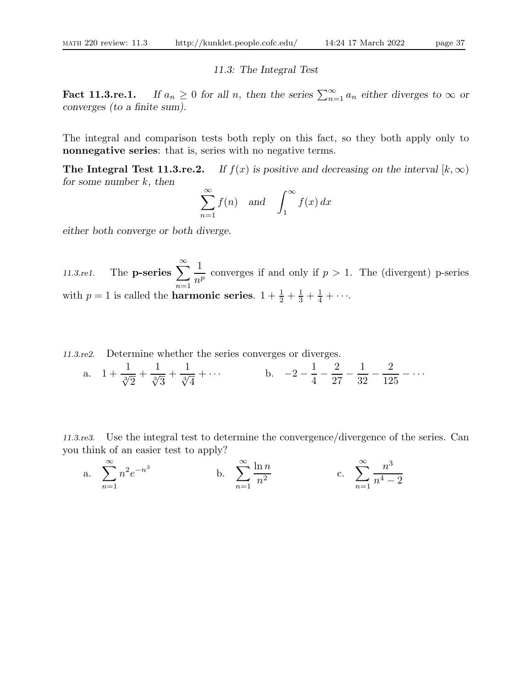11.3: The Integral Test

Fact 11.3.re.1. If  $a_n \geq 0$  for all n, then the series  $\sum_{n=1}^{\infty} a_n$  either diverges to  $\infty$  or converges (to a finite sum).

The integral and comparison tests both reply on this fact, so they both apply only to nonnegative series: that is, series with no negative terms.

**The Integral Test 11.3.re.2.** If  $f(x)$  is positive and decreasing on the interval  $[k, \infty)$ for some number  $k$ , then

$$
\sum_{n=1}^{\infty} f(n) \quad \text{and} \quad \int_{1}^{\infty} f(x) \, dx
$$

either both converge or both diverge.

11.3.re1. The **p-series**  $\sum_{n=1}^{\infty}$  $n=1$ 1  $\frac{1}{n^p}$  converges if and only if  $p > 1$ . The (divergent) p-series with  $p = 1$  is called the **harmonic series**.  $1 + \frac{1}{2} + \frac{1}{3} + \frac{1}{4} + \cdots$ .

11.3.re2. Determine whether the series converges or diverges.

a. 
$$
1 + \frac{1}{\sqrt[3]{2}} + \frac{1}{\sqrt[3]{3}} + \frac{1}{\sqrt[3]{4}} + \cdots
$$
 b.  $-2 - \frac{1}{4} - \frac{2}{27} - \frac{1}{32} - \frac{2}{125} - \cdots$ 

11.3.re3. Use the integral test to determine the convergence/divergence of the series. Can you think of an easier test to apply?

a. 
$$
\sum_{n=1}^{\infty} n^2 e^{-n^3}
$$
 b.  $\sum_{n=1}^{\infty} \frac{\ln n}{n^2}$  c.  $\sum_{n=1}^{\infty} \frac{n^3}{n^4 - 2}$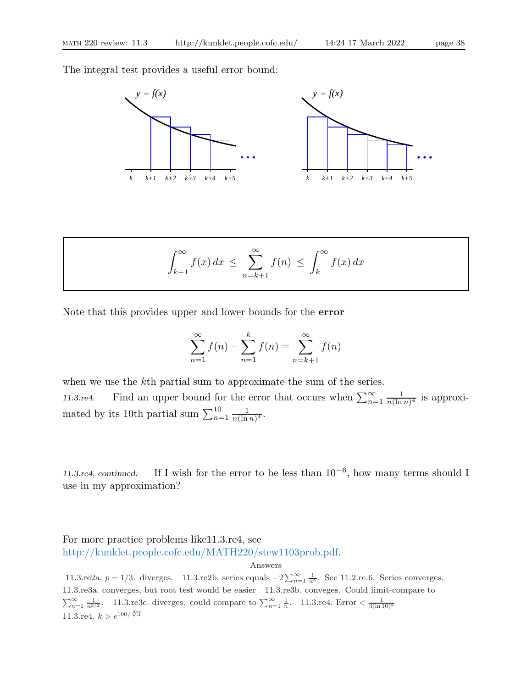The integral test provides a useful error bound:



$$
\int_{k+1}^{\infty} f(x) dx \leq \sum_{n=k+1}^{\infty} f(n) \leq \int_{k}^{\infty} f(x) dx
$$

Note that this provides upper and lower bounds for the error

$$
\sum_{n=1}^{\infty} f(n) - \sum_{n=1}^{k} f(n) = \sum_{n=k+1}^{\infty} f(n)
$$

when we use the k<sup>th</sup> partial sum to approximate the sum of the series. 11.3.re4. Find an upper bound for the error that occurs when  $\sum_{n=1}^{\infty}$ 1  $\frac{1}{n(\ln n)^4}$  is approximated by its 10th partial sum  $\sum_{n=1}^{10}$ 1  $\frac{1}{n(\ln n)^4}$ .

11.3.re4, continued. If I wish for the error to be less than  $10^{-6}$ , how many terms should I use in my approximation?

For more practice problems like11.3.re4, see http://kunklet.people.cofc.edu/MATH220/stew1103prob.pdf.

Answers

11.3.re2a.  $p = 1/3$ . diverges. 11.3.re2b. series equals  $-2\sum_{n=1}^{\infty} \frac{1}{n^3}$ . See 11.2.re.6. Series converges. 11.3.re3a. converges, but root test would be easier 11.3.re3b. conveges. Could limit-compare to  $\sum_{n=1}^{\infty} \frac{1}{n^{3/2}}$ . 11.3.re3c. diverges. could compare to  $\sum_{n=1}^{\infty} \frac{1}{n}$ . 11.3.re4. Error  $\lt \frac{1}{3(\ln 10)^3}$ 11.3.re4.  $k > e^{100/\sqrt[3]{3}}$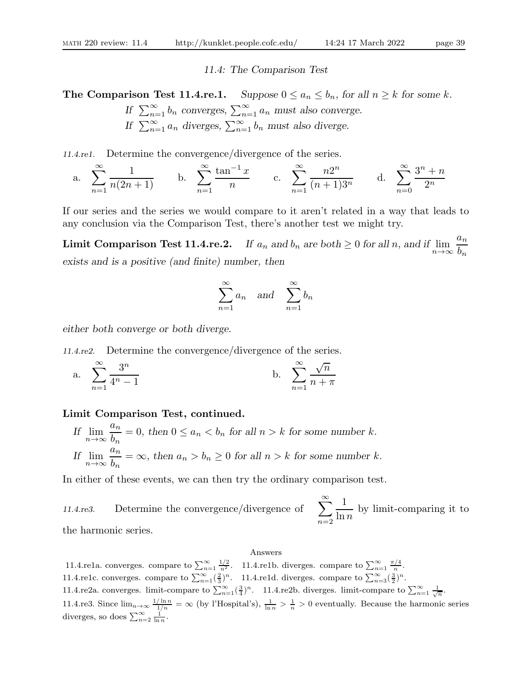#### 11.4: The Comparison Test

**The Comparison Test 11.4.re.1.** Suppose  $0 \le a_n \le b_n$ , for all  $n \ge k$  for some k.

If 
$$
\sum_{n=1}^{\infty} b_n
$$
 converges,  $\sum_{n=1}^{\infty} a_n$  must also converge.  
If  $\sum_{n=1}^{\infty} a_n$  diverges,  $\sum_{n=1}^{\infty} b_n$  must also diverge.

11.4.re1. Determine the convergence/divergence of the series.

a. 
$$
\sum_{n=1}^{\infty} \frac{1}{n(2n+1)}
$$
 b.  $\sum_{n=1}^{\infty} \frac{\tan^{-1} x}{n}$  c.  $\sum_{n=1}^{\infty} \frac{n2^n}{(n+1)3^n}$  d.  $\sum_{n=0}^{\infty} \frac{3^n + n}{2^n}$ 

If our series and the series we would compare to it aren't related in a way that leads to any conclusion via the Comparison Test, there's another test we might try.

**Limit Comparison Test 11.4.re.2.** If  $a_n$  and  $b_n$  are both  $\geq 0$  for all  $n$ , and if  $\lim_{n\to\infty}$  $a_n$  $b_n$ exists and is a positive (and finite) number, then

$$
\sum_{n=1}^{\infty} a_n \quad \text{and} \quad \sum_{n=1}^{\infty} b_n
$$

either both converge or both diverge.

11.4.re2. Determine the convergence/divergence of the series.

a. 
$$
\sum_{n=1}^{\infty} \frac{3^n}{4^n - 1}
$$
 b.  $\sum_{n=1}^{\infty} \frac{\sqrt{n}}{n + \pi}$ 

### Limit Comparison Test, continued.

If  $\lim_{n\to\infty}$  $a_n$  $\frac{d^2n}{b_n} = 0$ , then  $0 \le a_n < b_n$  for all  $n > k$  for some number k. If  $\lim_{n\to\infty}$  $a_n$  $\frac{\partial n}{\partial n} = \infty$ , then  $a_n > b_n \ge 0$  for all  $n > k$  for some number k.

In either of these events, we can then try the ordinary comparison test.

11.4.re3. Determine the convergence/divergence of 
$$
\sum_{n=2}^{\infty} \frac{1}{\ln n}
$$
 by limit-comparing it to the harmonic series

the harmonic series.

#### Answers

11.4.re1a. converges. compare to  $\sum_{n=1}^{\infty} \frac{1/2}{n^2}$ . 11.4.re1b. diverges. compare to  $\sum_{n=1}^{\infty} \frac{\pi/4}{n}$ . 11.4.re1c. converges. compare to  $\sum_{n=1}^{\infty} \left(\frac{2}{3}\right)^n$ . 11.4.re1d. diverges. compare to  $\sum_{n=3}^{\infty} \left(\frac{3}{2}\right)^n$ . 11.4.re2a. converges. limit-compare to  $\sum_{n=1}^{\infty} (\frac{3}{4})^n$ . 11.4.re2b. diverges. limit-compare to  $\sum_{n=1}^{\infty} \frac{1}{\sqrt{n}}$ . 11.4.re3. Since  $\lim_{n\to\infty}\frac{1/\ln n}{1/n}=\infty$  (by l'Hospital's),  $\frac{1}{\ln n}>\frac{1}{n}>0$  eventually. Because the harmonic series diverges, so does  $\sum_{n=2}^{\infty} \frac{1}{\ln n}$ .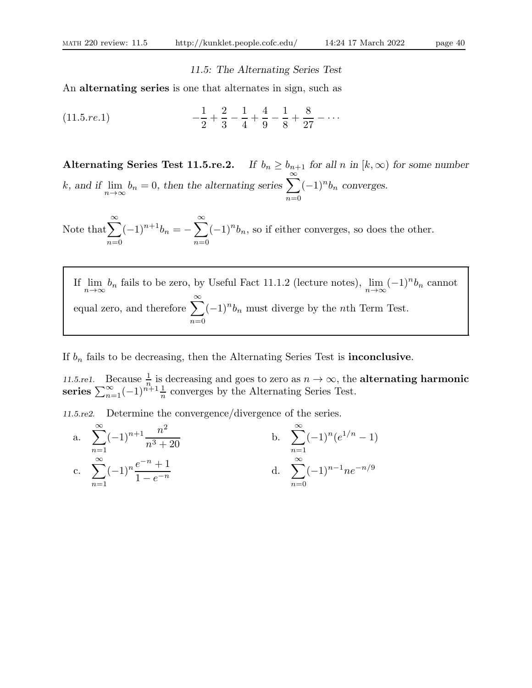# 11.5: The Alternating Series Test

An alternating series is one that alternates in sign, such as

(11.5.7e.1) 
$$
-\frac{1}{2} + \frac{2}{3} - \frac{1}{4} + \frac{4}{9} - \frac{1}{8} + \frac{8}{27} - \cdots
$$

Alternating Series Test 11.5.re.2. If  $b_n \geq b_{n+1}$  for all n in  $[k,\infty)$  for some number k, and if  $\lim_{n\to\infty}$  $b_n = 0$ , then the alternating series  $\sum_{n=0}^{\infty}$  $n=0$  $(-1)^n b_n$  converges.

Note that  $\sum_{n=1}^{\infty}$  $n=0$  $(-1)^{n+1}b_n = -\sum^{\infty}$  $n=0$  $(-1)^n b_n$ , so if either converges, so does the other.

If  $\lim_{n \to \infty} b_n$  fails to be zero, by Useful Fact 11.1.2 (lecture notes),  $\lim_{n \to \infty} (-1)^n b_n$  cannot equal zero, and therefore  $\sum_{n=1}^{\infty}$  $n=0$  $(-1)^n b_n$  must diverge by the *n*th Term Test.

# If  $b_n$  fails to be decreasing, then the Alternating Series Test is **inconclusive**.

11.5.re1. Because  $\frac{1}{n}$  is decreasing and goes to zero as  $n \to \infty$ , the **alternating harmonic** series  $\sum_{n=1}^{\infty}(-1)^{n+1}\frac{1}{n}$  converges by the Alternating Series Test.

11.5.re2. Determine the convergence/divergence of the series.

a. 
$$
\sum_{n=1}^{\infty} (-1)^{n+1} \frac{n^2}{n^3 + 20}
$$
  
b. 
$$
\sum_{n=1}^{\infty} (-1)^n (e^{1/n} - 1)
$$
  
c. 
$$
\sum_{n=1}^{\infty} (-1)^n \frac{e^{-n} + 1}{1 - e^{-n}}
$$
  
d. 
$$
\sum_{n=0}^{\infty} (-1)^{n-1} n e^{-n/9}
$$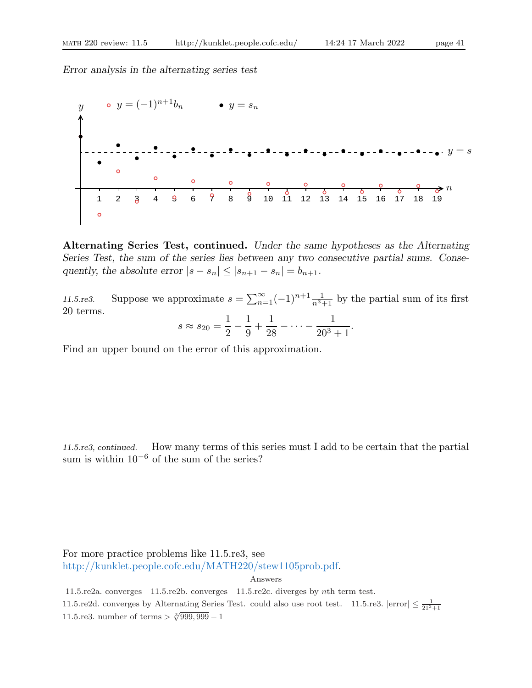

Alternating Series Test, continued. Under the same hypotheses as the Alternating Series Test, the sum of the series lies between any two consecutive partial sums. Consequently, the absolute error  $|s - s_n| \leq |s_{n+1} - s_n| = b_{n+1}$ .

11.5.re3. Suppose we approximate  $s = \sum_{n=1}^{\infty} (-1)^{n+1} \frac{1}{n^3+1}$  by the partial sum of its first 20 terms.

$$
s \approx s_{20} = \frac{1}{2} - \frac{1}{9} + \frac{1}{28} - \dots - \frac{1}{20^3 + 1}.
$$

Find an upper bound on the error of this approximation.

11.5.re3, continued. How many terms of this series must I add to be certain that the partial sum is within  $10^{-6}$  of the sum of the series?

For more practice problems like 11.5.re3, see http://kunklet.people.cofc.edu/MATH220/stew1105prob.pdf.

Answers

11.5.re2a. converges 11.5.re2b. converges 11.5.re2c. diverges by nth term test. 11.5.re2d. converges by Alternating Series Test. could also use root test. 11.5.re3.  $|\text{error}| \leq \frac{1}{21^3+1}$ 11.5.re3. number of terms  $> \sqrt[3]{999,999} - 1$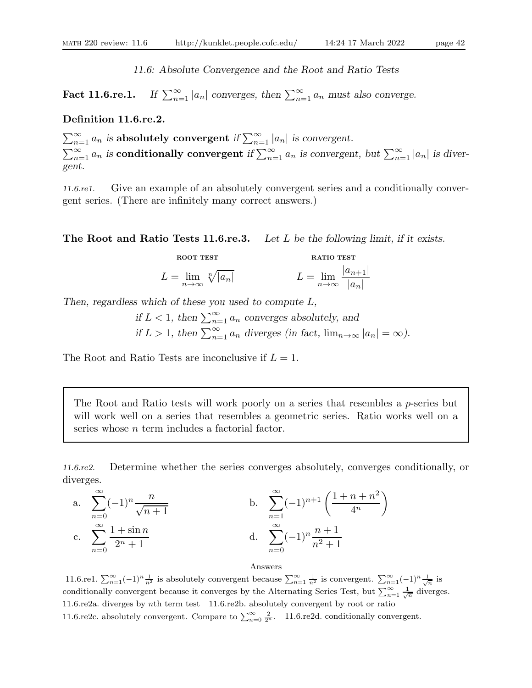11.6: Absolute Convergence and the Root and Ratio Tests

Fact 11.6.re.1.  $\sum_{n=1}^{\infty} |a_n|$  converges, then  $\sum_{n=1}^{\infty} a_n$  must also converge.

#### Definition 11.6.re.2.

 $\sum_{n=1}^{\infty} a_n$  is absolutely convergent if  $\sum_{n=1}^{\infty} |a_n|$  is convergent.  $\sum_{n=1}^{\infty} a_n$  is conditionally convergent if  $\sum_{n=1}^{\infty} a_n$  is convergent, but  $\sum_{n=1}^{\infty} |a_n|$  is divergent.

11.6.re1. Give an example of an absolutely convergent series and a conditionally convergent series. (There are infinitely many correct answers.)

The Root and Ratio Tests 11.6.re.3. Let L be the following limit, if it exists.

$$
L = \lim_{n \to \infty} \sqrt[n]{|a_n|}
$$
 
$$
L = \lim_{n \to \infty} \frac{|a_{n+1}|}{|a_n|}
$$

**DOOT TEST RATIO TEST RATIO TEST** 

Then, regardless which of these you used to compute L,

if  $L < 1$ , then  $\sum_{n=1}^{\infty} a_n$  converges absolutely, and if  $L > 1$ , then  $\sum_{n=1}^{\infty} a_n$  diverges (in fact,  $\lim_{n \to \infty} |a_n| = \infty$ ).

The Root and Ratio Tests are inconclusive if  $L = 1$ .

The Root and Ratio tests will work poorly on a series that resembles a  $p$ -series but will work well on a series that resembles a geometric series. Ratio works well on a series whose n term includes a factorial factor.

11.6.re2. Determine whether the series converges absolutely, converges conditionally, or diverges.

a. 
$$
\sum_{n=0}^{\infty} (-1)^n \frac{n}{\sqrt{n+1}}
$$
  
b. 
$$
\sum_{n=1}^{\infty} (-1)^{n+1} \left( \frac{1+n+n^2}{4^n} \right)
$$
  
c. 
$$
\sum_{n=0}^{\infty} \frac{1+\sin n}{2^n+1}
$$
  
d. 
$$
\sum_{n=0}^{\infty} (-1)^n \frac{n+1}{n^2+1}
$$

Answers 11.6.re1.  $\sum_{n=1}^{\infty}(-1)^n\frac{1}{n^2}$  is absolutely convergent because  $\sum_{n=1}^{\infty}\frac{1}{n^2}$  is convergent.  $\sum_{n=1}^{\infty}(-1)^n\frac{1}{\sqrt{n}}$  is conditionally convergent because it converges by the Alternating Series Test, but  $\sum_{n=1}^{\infty} \frac{1}{\sqrt{n}}$  diverges. 11.6.re2a. diverges by nth term test 11.6.re2b. absolutely convergent by root or ratio 11.6.re2c. absolutely convergent. Compare to  $\sum_{n=0}^{\infty} \frac{2}{2^n}$ . 11.6.re2d. conditionally convergent.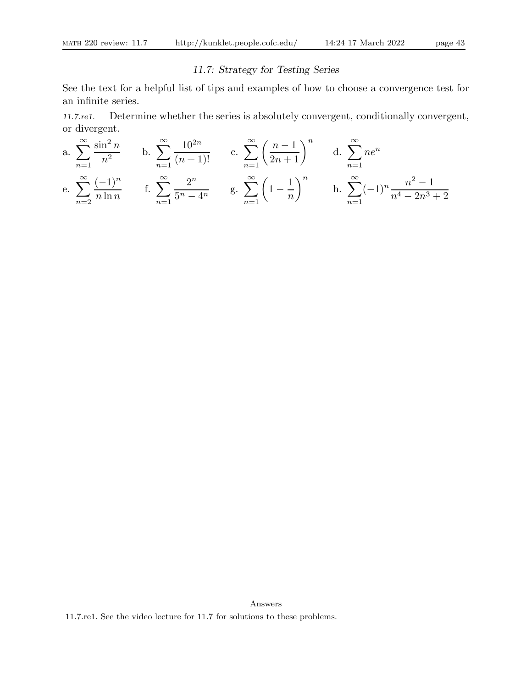# 11.7: Strategy for Testing Series

See the text for a helpful list of tips and examples of how to choose a convergence test for an infinite series.

11.7.re1. Determine whether the series is absolutely convergent, conditionally convergent, or divergent.

a. 
$$
\sum_{n=1}^{\infty} \frac{\sin^2 n}{n^2}
$$
 b.  $\sum_{n=1}^{\infty} \frac{10^{2n}}{(n+1)!}$  c.  $\sum_{n=1}^{\infty} \left(\frac{n-1}{2n+1}\right)^n$  d.  $\sum_{n=1}^{\infty} ne^n$   
e.  $\sum_{n=2}^{\infty} \frac{(-1)^n}{n \ln n}$  f.  $\sum_{n=1}^{\infty} \frac{2^n}{5^n - 4^n}$  g.  $\sum_{n=1}^{\infty} \left(1 - \frac{1}{n}\right)^n$  h.  $\sum_{n=1}^{\infty} (-1)^n \frac{n^2 - 1}{n^4 - 2n^3 + 2}$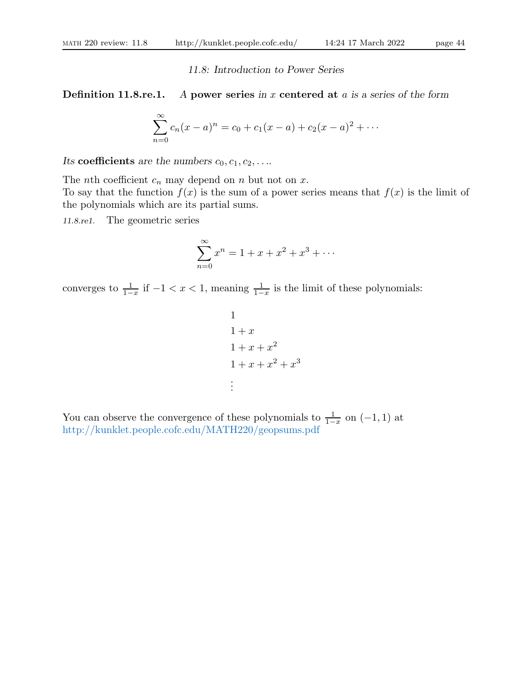11.8: Introduction to Power Series

### **Definition 11.8.re.1.** A power series in x centered at  $a$  is a series of the form

$$
\sum_{n=0}^{\infty} c_n(x-a)^n = c_0 + c_1(x-a) + c_2(x-a)^2 + \cdots
$$

Its coefficients are the numbers  $c_0, c_1, c_2, \ldots$ 

The *n*th coefficient  $c_n$  may depend on *n* but not on *x*.

To say that the function  $f(x)$  is the sum of a power series means that  $f(x)$  is the limit of the polynomials which are its partial sums.

11.8.re1. The geometric series

$$
\sum_{n=0}^{\infty} x^n = 1 + x + x^2 + x^3 + \dots
$$

converges to  $\frac{1}{1-x}$  if  $-1 < x < 1$ , meaning  $\frac{1}{1-x}$  is the limit of these polynomials:

$$
1
$$
\n
$$
1 + x
$$
\n
$$
1 + x + x2
$$
\n
$$
1 + x + x2 + x3
$$
\n
$$
\vdots
$$

You can observe the convergence of these polynomials to  $\frac{1}{1-x}$  on  $(-1,1)$  at http://kunklet.people.cofc.edu/MATH220/geopsums.pdf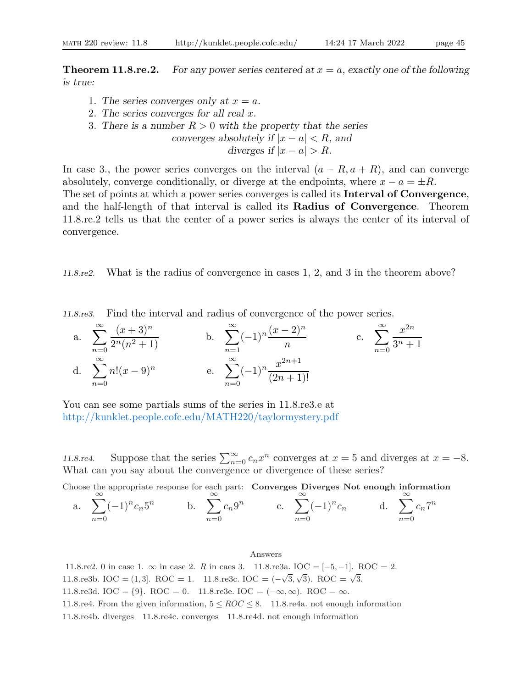**Theorem 11.8.re.2.** For any power series centered at  $x = a$ , exactly one of the following is true:

- 1. The series converges only at  $x = a$ .
- 2. The series converges for all real x.
- 3. There is a number  $R > 0$  with the property that the series

converges absolutely if 
$$
|x - a| < R
$$
, and diverges if  $|x - a| > R$ .

In case 3., the power series converges on the interval  $(a - R, a + R)$ , and can converge absolutely, converge conditionally, or diverge at the endpoints, where  $x - a = \pm R$ .

The set of points at which a power series converges is called its Interval of Convergence, and the half-length of that interval is called its Radius of Convergence. Theorem 11.8.re.2 tells us that the center of a power series is always the center of its interval of convergence.

11.8.re2. What is the radius of convergence in cases 1, 2, and 3 in the theorem above?

11.8.re3. Find the interval and radius of convergence of the power series.

a. 
$$
\sum_{n=0}^{\infty} \frac{(x+3)^n}{2^n (n^2+1)}
$$
  
b. 
$$
\sum_{n=1}^{\infty} (-1)^n \frac{(x-2)^n}{n}
$$
  
c. 
$$
\sum_{n=0}^{\infty} \frac{x^{2n}}{3^n+1}
$$
  
d. 
$$
\sum_{n=0}^{\infty} n! (x-9)^n
$$
  
e. 
$$
\sum_{n=0}^{\infty} (-1)^n \frac{x^{2n+1}}{(2n+1)!}
$$

You can see some partials sums of the series in  $11.8 \text{.e. } 3.6$ http://kunklet.people.cofc.edu/MATH220/taylormystery.pdf

11.8.re4. Suppose that the series  $\sum_{n=0}^{\infty} c_n x^n$  converges at  $x = 5$  and diverges at  $x = -8$ . What can you say about the convergence or divergence of these series?

Choose the appropriate response for each part: Converges Diverges Not enough information

a. 
$$
\sum_{n=0}^{\infty} (-1)^n c_n 5^n
$$
 b.  $\sum_{n=0}^{\infty} c_n 9^n$  c.  $\sum_{n=0}^{\infty} (-1)^n c_n$  d.  $\sum_{n=0}^{\infty} c_n 7^n$ 

Answers

11.8.re2. 0 in case 1.  $\infty$  in case 2. R in case 3. 11.8.re3a. IOC = [-5, -1]. ROC = 2. 11.8.re3b. IOC = (1,3). ROC = 1. 11.8.re3c. IOC =  $(-\sqrt{3}, \sqrt{3})$ . ROC =  $\sqrt{3}$ . 11.8.re3d. IOC = {9}. ROC = 0. 11.8.re3e. IOC =  $(-\infty, \infty)$ . ROC =  $\infty$ . 11.8.re4. From the given information,  $5 \leq ROC \leq 8$ . 11.8.re4a. not enough information 11.8.re4b. diverges 11.8.re4c. converges 11.8.re4d. not enough information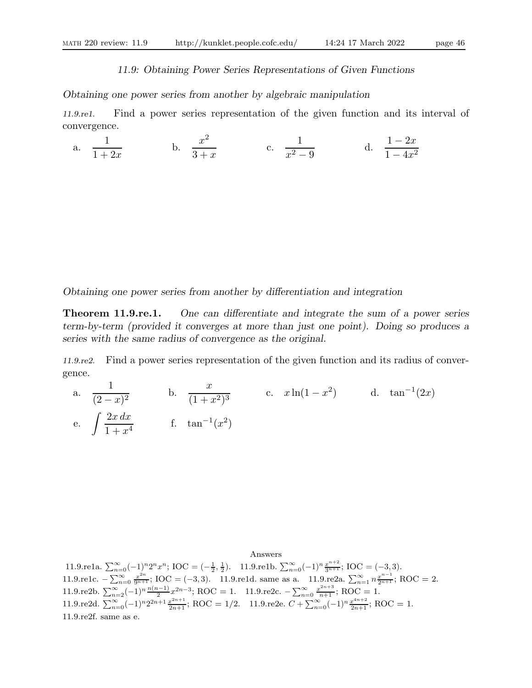#### 11.9: Obtaining Power Series Representations of Given Functions

Obtaining one power series from another by algebraic manipulation

11.9.re1. Find a power series representation of the given function and its interval of convergence.

a. 
$$
\frac{1}{1+2x}
$$
 b.  $\frac{x^2}{3+x}$  c.  $\frac{1}{x^2-9}$  d.  $\frac{1-2x}{1-4x^2}$ 

Obtaining one power series from another by differentiation and integration

**Theorem 11.9. re.1.** One can differentiate and integrate the sum of a power series term-by-term (provided it converges at more than just one point). Doing so produces a series with the same radius of convergence as the original.

11.9.re2. Find a power series representation of the given function and its radius of convergence.

a. 1  $\frac{1}{(2-x)^2}$  b.  $\frac{x}{(1+x)}$  $\frac{x}{(1+x^2)^3}$  c.  $x\ln(1-x^2)$  d.  $\tan^{-1}(2x)$ e.  $\int \frac{2x \, dx}{1 + x^2}$  $\frac{2x \, dx}{1 + x^4}$  f.  $\tan^{-1}(x^2)$ 

Answers 11.9.re1a.  $\sum_{n=0}^{\infty}(-1)^n 2^n x^n$ ; IOC =  $\left(-\frac{1}{2},\frac{1}{2}\right)$ . 11.9.re1b.  $\sum_{n=0}^{\infty}(-1)^n \frac{x^{n+2}}{3^{n+1}}$ ; IOC =  $(-3,3)$ . 11.9.re1c.  $-\sum_{n=0}^{\infty} \frac{x^{2n}}{9^{n+1}}$ ; IOC = (-3,3). 11.9.re1d. same as a. 11.9.re2a.  $\sum_{n=1}^{\infty} n \frac{x^{n-1}}{2^{n+1}}$ ; ROC = 2. 11.9.re2b.  $\sum_{n=2}^{\infty}(-1)^n \frac{n(n-1)}{2} x^{2n-3}$ ; ROC = 1. 11.9.re2c.  $-\sum_{n=0}^{\infty} \frac{x^{2n+3}}{n+1}$ ; ROC = 1. 11.9.re2d.  $\sum_{n=0}^{\infty} (-1)^n 2^{2n+1} \frac{x^{2n+1}}{2n+1}$ ; ROC = 1/2. 11.9.re2e.  $C + \sum_{n=0}^{\infty} (-1)^n \frac{x^{4n+2}}{2n+1}$ ; ROC = 1. 11.9.re2f. same as e.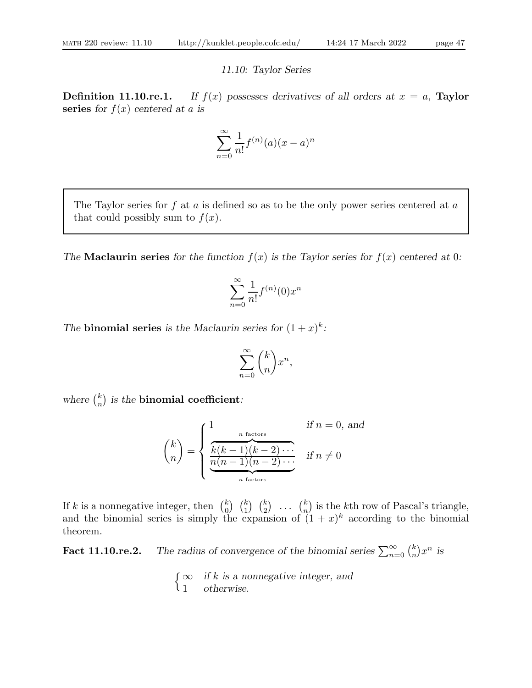#### 11.10: Taylor Series

**Definition 11.10.re.1.** If  $f(x)$  possesses derivatives of all orders at  $x = a$ , Taylor series for  $f(x)$  centered at a is

$$
\sum_{n=0}^{\infty} \frac{1}{n!} f^{(n)}(a)(x-a)^n
$$

The Taylor series for  $f$  at  $a$  is defined so as to be the only power series centered at  $a$ that could possibly sum to  $f(x)$ .

The **Maclaurin series** for the function  $f(x)$  is the Taylor series for  $f(x)$  centered at 0:

$$
\sum_{n=0}^{\infty} \frac{1}{n!} f^{(n)}(0) x^n
$$

The **binomial series** is the Maclaurin series for  $(1+x)^k$ :

$$
\sum_{n=0}^{\infty} {k \choose n} x^n,
$$

where  $\binom{k}{n}$  $\binom{k}{n}$  is the binomial coefficient:

$$
\binom{k}{n} = \begin{cases}\n\frac{n \text{ factors}}{k(k-1)(k-2)\cdots} & \text{if } n = 0, \text{ and} \\
\frac{k(k-1)(k-2)\cdots}{n(n-1)(n-2)\cdots} & \text{if } n \neq 0\n\end{cases}
$$

If k is a nonnegative integer, then  $\binom{k}{0}$  $\binom{k}{0}$   $\binom{k}{1}$   $\binom{k}{2}$  ...  $\binom{k}{n}$  $\binom{k}{n}$  is the k<sup>th</sup> row of Pascal's triangle, and the binomial series is simply the expansion of  $(1+x)^k$  according to the binomial theorem.

**Fact 11.10.re.2.** The radius of convergence of the binomial series  $\sum_{n=0}^{\infty} {k \choose n}$  $\binom{k}{n}x^n$  is

> $\int \infty$  if k is a nonnegative integer, and 1 otherwise.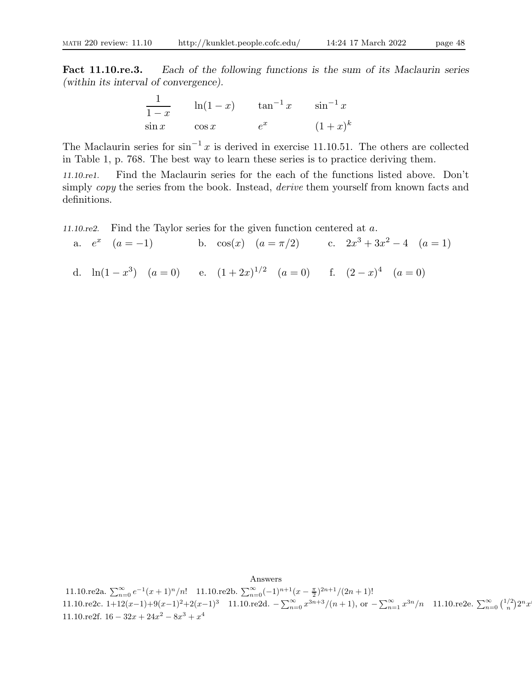Fact 11.10.re.3. Each of the following functions is the sum of its Maclaurin series (within its interval of convergence).

$$
\frac{1}{1-x} \qquad \ln(1-x) \qquad \tan^{-1} x \qquad \sin^{-1} x
$$
  

$$
\sin x \qquad \cos x \qquad e^x \qquad (1+x)^k
$$

The Maclaurin series for  $\sin^{-1} x$  is derived in exercise 11.10.51. The others are collected in Table 1, p. 768. The best way to learn these series is to practice deriving them.

11.10.re1. Find the Maclaurin series for the each of the functions listed above. Don't simply *copy* the series from the book. Instead, *derive* them yourself from known facts and definitions.

11.10.re2. Find the Taylor series for the given function centered at a.

a.  $e^x$   $(a = -1)$  b.  $cos(x)$   $(a = \pi/2)$  c.  $2x^3 + 3x^2 - 4$   $(a = 1)$ d.  $\ln(1-x^3)$   $(a=0)$  e.  $(1+2x)^{1/2}$   $(a=0)$  f.  $(2-x)^4$   $(a=0)$ 

Answers 11.10.re2a.  $\sum_{n=0}^{\infty} e^{-1}(x+1)^n/n!$  11.10.re2b.  $\sum_{n=0}^{\infty} (-1)^{n+1}(x-\frac{\pi}{2})^{2n+1}/(2n+1)!$ 11.10.re2c. 1+12(x-1)+9(x-1)<sup>2</sup>+2(x-1)<sup>3</sup> 11.10.re2d.  $-\sum_{n=0}^{\infty} x^{3n+3}/(n+1)$ , or  $-\sum_{n=1}^{\infty} x^{3n}/n$  11.10.re2e.  $\sum_{n=0}^{\infty} {1/2 \choose n} 2^n x$ 11.10.re2f.  $16 - 32x + 24x^2 - 8x^3 + x^4$ 

n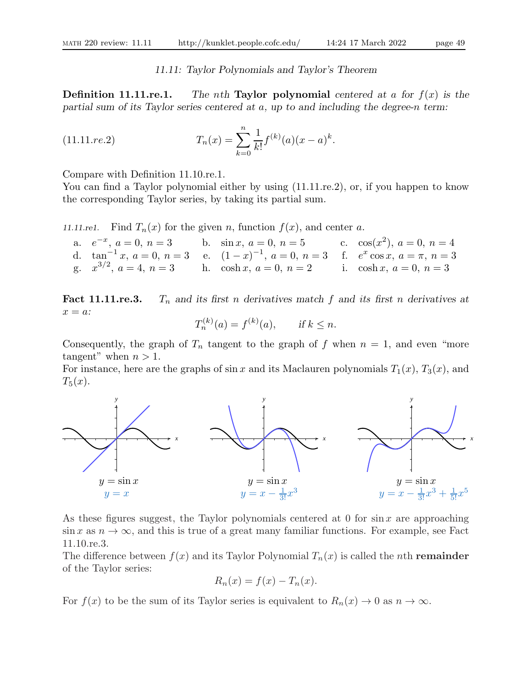#### 11.11: Taylor Polynomials and Taylor's Theorem

**Definition 11.11.re.1.** The nth Taylor polynomial centered at a for  $f(x)$  is the partial sum of its Taylor series centered at a, up to and including the degree-n term:

(11.11.7e.2) 
$$
T_n(x) = \sum_{k=0}^n \frac{1}{k!} f^{(k)}(a)(x-a)^k.
$$

Compare with Definition 11.10.re.1.

You can find a Taylor polynomial either by using  $(11.11 \text{.}$ re.2), or, if you happen to know the corresponding Taylor series, by taking its partial sum.

11.11.re1. Find  $T_n(x)$  for the given n, function  $f(x)$ , and center a.

| a. $e^{-x}$ , $a = 0$ , $n = 3$ b. $\sin x$ , $a = 0$ , $n = 5$ |                                                                                 | c. $\cos(x^2)$ , $a = 0$ , $n = 4$ |
|-----------------------------------------------------------------|---------------------------------------------------------------------------------|------------------------------------|
|                                                                 | d. $\tan^{-1}x, a=0, n=3$ e. $(1-x)^{-1}, a=0, n=3$ f. $e^x \cos x, a=\pi, n=3$ |                                    |
|                                                                 | g. $x^{3/2}$ , $a = 4$ , $n = 3$ h. cosh x, $a = 0$ , $n = 2$                   | i. $\cosh x, a = 0, n = 3$         |

**Fact 11.11.re.3.**  $T_n$  and its first n derivatives match f and its first n derivatives at  $x = a$ :

$$
T_n^{(k)}(a) = f^{(k)}(a), \quad \text{if } k \le n.
$$

Consequently, the graph of  $T_n$  tangent to the graph of f when  $n = 1$ , and even "more tangent" when  $n > 1$ .

For instance, here are the graphs of  $\sin x$  and its Maclauren polynomials  $T_1(x)$ ,  $T_3(x)$ , and  $T_5(x)$ .



As these figures suggest, the Taylor polynomials centered at 0 for  $\sin x$  are approaching  $\sin x$  as  $n \to \infty$ , and this is true of a great many familiar functions. For example, see Fact 11.10.re.3.

The difference between  $f(x)$  and its Taylor Polynomial  $T_n(x)$  is called the *n*th **remainder** of the Taylor series:

$$
R_n(x) = f(x) - T_n(x).
$$

For  $f(x)$  to be the sum of its Taylor series is equivalent to  $R_n(x) \to 0$  as  $n \to \infty$ .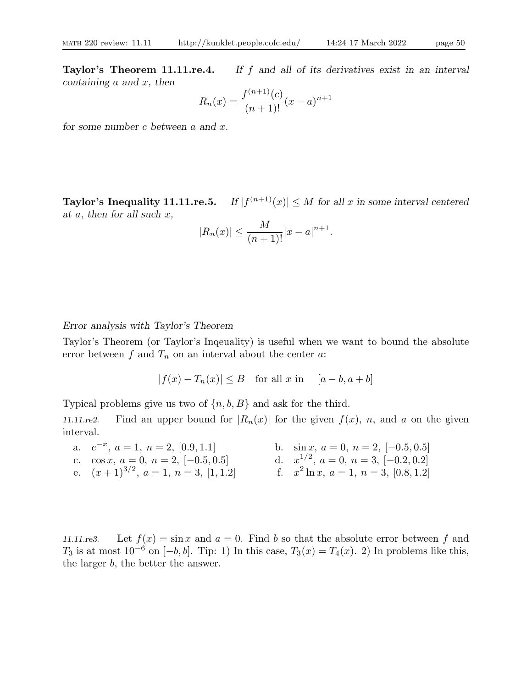Taylor's Theorem 11.11.re.4. If f and all of its derivatives exist in an interval containing  $a$  and  $x$ , then

$$
R_n(x) = \frac{f^{(n+1)}(c)}{(n+1)!}(x-a)^{n+1}
$$

for some number  $c$  between  $a$  and  $x$ .

Taylor's Inequality 11.11.re.5.  $|f(f^{(n+1)}(x)| \leq M$  for all x in some interval centered at  $a$ , then for all such  $x$ ,

$$
|R_n(x)| \le \frac{M}{(n+1)!}|x-a|^{n+1}.
$$

### Error analysis with Taylor's Theorem

Taylor's Theorem (or Taylor's Inqeuality) is useful when we want to bound the absolute error between f and  $T_n$  on an interval about the center a:

$$
|f(x) - T_n(x)| \le B \quad \text{for all } x \text{ in } \quad [a - b, a + b]
$$

Typical problems give us two of  $\{n, b, B\}$  and ask for the third.

11.11.re2. Find an upper bound for  $|R_n(x)|$  for the given  $f(x)$ , n, and a on the given interval.

a.  $e^{-x}$ b.  $\sin x, a = 0, n = 2, [-0.5, 0.5]$ c. cos x,  $a = 0, n = 2, [-0.5, 0.5]$  $\frac{1}{2}$ ,  $a = 0$ ,  $n = 3$ ,  $[-0.2, 0.2]$ e.  $(x+1)^{3/2}$ ,  $a=1$ ,  $n=3$ ,  $[1,1.2]$  f. x  $x^2 \ln x$ ,  $a = 1$ ,  $n = 3$ ,  $[0.8, 1.2]$ 

11.11.re3. Let  $f(x) = \sin x$  and  $a = 0$ . Find b so that the absolute error between f and T<sub>3</sub> is at most  $10^{-6}$  on  $[-b, b]$ . Tip: 1) In this case,  $T_3(x) = T_4(x)$ . 2) In problems like this, the larger b, the better the answer.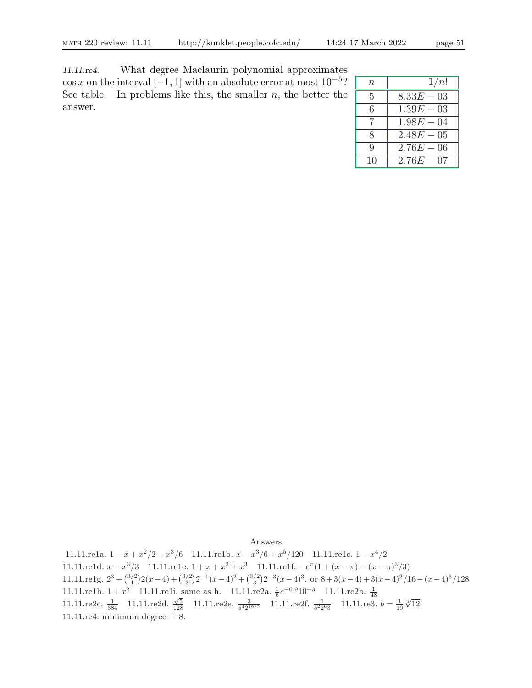11.11.re4. What degree Maclaurin polynomial approximates  $\cos x$  on the interval [-1, 1] with an absolute error at most  $10^{-5}$ ? See table. In problems like this, the smaller  $n$ , the better the answer.

| $\, n$ | 1/n!         |
|--------|--------------|
| 5      | $8.33E - 03$ |
| 6      | $1.39E - 03$ |
| 7      | $1.98E - 04$ |
| 8      | $2.48E - 05$ |
| 9      | $2.76E - 06$ |
| 10     | $2.76E - 07$ |

Answers

11.11.re1a.  $1 - x + x^2/2 - x^3/6$  11.11.re1b.  $x - x^3/6 + x^5/120$  11.11.re1c.  $1 - x^4/2$ 11.11.re1d.  $x - x^3/3$  11.11.re1e.  $1 + x + x^2 + x^3$  11.11.re1f.  $-e^{\pi}(1 + (x - \pi) - (x - \pi)^3/3)$ 11.11.re1g.  $2^3 + {3/2 \choose 1} 2(x-4) + {3/2 \choose 3} 2^{-1}(x-4)^2 + {3/2 \choose 3} 2^{-3}(x-4)^3$ , or  $8 + 3(x-4) + 3(x-4)^2/16 - (x-4)^3/128$ 11.11.re1h. 1 +  $x^2$  11.11.re1i. same as h. 11.11.re2a.  $\frac{1}{6}e^{-0.9}10^{-3}$  11.11.re2b.  $\frac{1}{48}$ <br>11.11.re2c.  $\frac{1}{384}$  11.11.re2d.  $\frac{\sqrt{5}}{128}$  11.11.re2e.  $\frac{3}{542^{19/2}}$  11.11.re2f.  $\frac{1}{522^{63}}$  11.11.re3.  $b$ 11.11.re4. minimum degree  $= 8$ .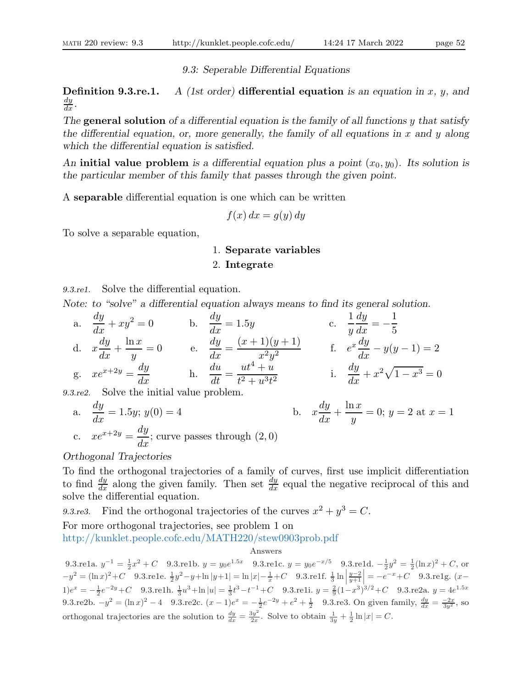9.3: Seperable Differential Equations

**Definition 9.3.re.1.** A (1st order) differential equation is an equation in x, y, and  $\frac{dy}{dx}$ .

The general solution of a differential equation is the family of all functions  $y$  that satisfy the differential equation, or, more generally, the family of all equations in  $x$  and  $y$  along which the differential equation is satisfied.

An initial value problem is a differential equation plus a point  $(x_0, y_0)$ . Its solution is the particular member of this family that passes through the given point.

A separable differential equation is one which can be written

$$
f(x) dx = g(y) dy
$$

To solve a separable equation,

### 1. Separate variables

#### 2. Integrate

9.3.re1. Solve the differential equation.

Note: to "solve" a differential equation always means to find its general solution.

a.  $\frac{dy}{dx} + xy^2 = 0$  b.  $\frac{dy}{dx} = 1.5y$  c. 1  $\hat{y}$ dy  $\frac{dy}{dx} = -$ 1 5 d. x dy  $\frac{dy}{dx} +$  $ln x$  $\hat{y}$  $= 0$  e. dy  $\frac{dy}{dx} =$  $(x+1)(y+1)$  $\frac{1}{x^2y^2}$  f.  $e^x\frac{dy}{dx}$  $\frac{dy}{dx} - y(y-1) = 2$ g.  $xe^{x+2y} = \frac{dy}{dx}$  h.  $\frac{du}{dt} =$  $ut^4 + u$  $\frac{1}{t^2 + u^3 t^2}$  i. dy  $\frac{dy}{dx} + x^2\sqrt{1-x^3} = 0$ 

9.3.re2. Solve the initial value problem.

a. 
$$
\frac{dy}{dx} = 1.5y; y(0) = 4
$$
  
b. 
$$
x\frac{dy}{dx} + \frac{\ln x}{y} = 0; y = 2 \text{ at } x = 1
$$
  
c. 
$$
xe^{x+2y} = \frac{dy}{dx}; \text{ curve passes through } (2,0)
$$

Orthogonal Trajectories

To find the orthogonal trajectories of a family of curves, first use implicit differentiation to find  $\frac{dy}{dx}$  along the given family. Then set  $\frac{dy}{dx}$  equal the negative reciprocal of this and solve the differential equation.

9.3. re3. Find the orthogonal trajectories of the curves  $x^2 + y^3 = C$ .

For more orthogonal trajectories, see problem 1 on

http://kunklet.people.cofc.edu/MATH220/stew0903prob.pdf

Answers

9.3.re1a.  $y^{-1} = \frac{1}{2}x^2 + C$  9.3.re1b.  $y = y_0e^{1.5x}$  9.3.re1c.  $y = y_0e^{-x/5}$  9.3.re1d.  $-\frac{1}{2}y^2 = \frac{1}{2}(\ln x)^2 + C$ , or  $-y^2 = (\ln x)^2 + C$  9.3.re1e.  $\frac{1}{2}y^2 - y + \ln|y+1| = \ln|x| - \frac{1}{x} + C$  9.3.re1f.  $\frac{1}{3} \ln|x|$  $\left|\frac{y-2}{y+1}\right| = -e^{-x} + C$  9.3.re1g.  $(x-$ 1) $e^x = -\frac{1}{2}e^{-2y} + C$  9.3.re1h.  $\frac{1}{3}u^3 + \ln|u| = \frac{1}{3}t^3 - t^{-1} + C$  9.3.re1i.  $y = \frac{2}{9}(1-x^3)^{3/2} + C$  9.3.re2a.  $y = 4e^{1.5x}$ 9.3.re2b.  $-y^2 = (\ln x)^2 - 4$  9.3.re2c.  $(x-1)e^x = -\frac{1}{2}e^{-2y} + e^2 + \frac{1}{2}$  9.3.re3. On given family,  $\frac{dy}{dx} = \frac{-2x}{3y^2}$ , so orthogonal trajectories are the solution to  $\frac{dy}{dx} = \frac{3y^2}{2x}$  $rac{3y^2}{2x}$ . Solve to obtain  $\frac{1}{3y} + \frac{1}{2} \ln |x| = C$ .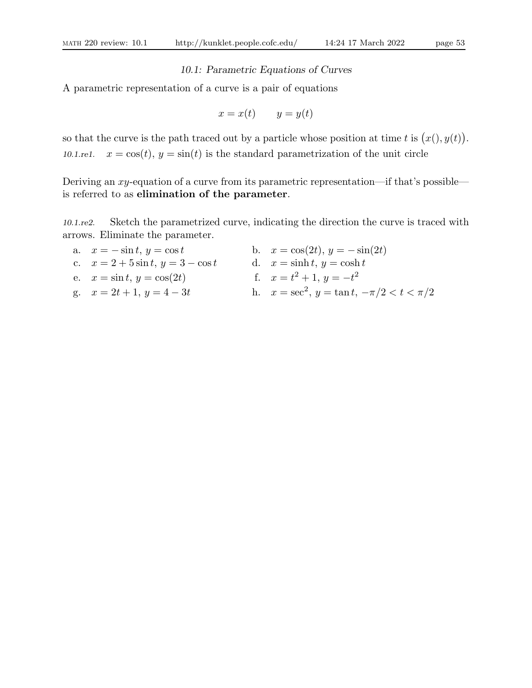# 10.1: Parametric Equations of Curves

A parametric representation of a curve is a pair of equations

$$
x = x(t) \qquad y = y(t)
$$

so that the curve is the path traced out by a particle whose position at time t is  $(x(), y(t))$ . 10.1.re1.  $x = \cos(t)$ ,  $y = \sin(t)$  is the standard parametrization of the unit circle

Deriving an xy-equation of a curve from its parametric representation—if that's possible is referred to as elimination of the parameter.

10.1.re2. Sketch the parametrized curve, indicating the direction the curve is traced with arrows. Eliminate the parameter.

| a. $x = -\sin t, y = \cos t$         | b. $x = \cos(2t), y = -\sin(2t)$                      |
|--------------------------------------|-------------------------------------------------------|
| c. $x = 2 + 5\sin t, y = 3 - \cos t$ | d. $x = \sinh t, y = \cosh t$                         |
| e. $x = \sin t, y = \cos(2t)$        | f. $x = t^2 + 1$ , $y = -t^2$                         |
| g. $x = 2t + 1$ , $y = 4 - 3t$       | h. $x = \sec^2$ , $y = \tan t$ , $-\pi/2 < t < \pi/2$ |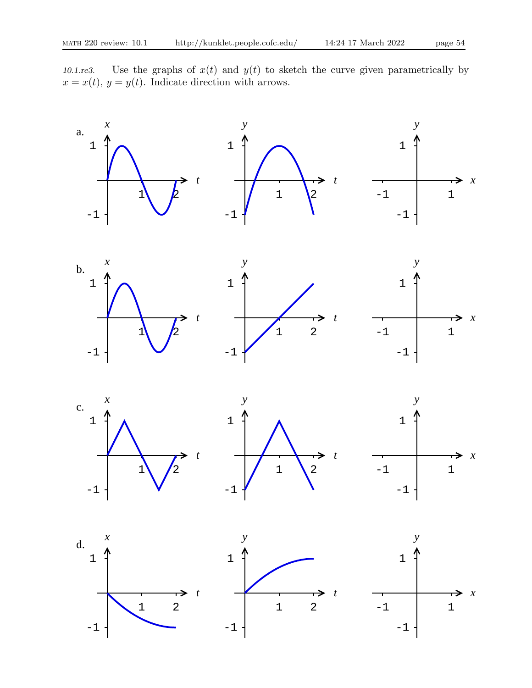10.1.re3. Use the graphs of  $x(t)$  and  $y(t)$  to sketch the curve given parametrically by  $x = x(t)$ ,  $y = y(t)$ . Indicate direction with arrows.

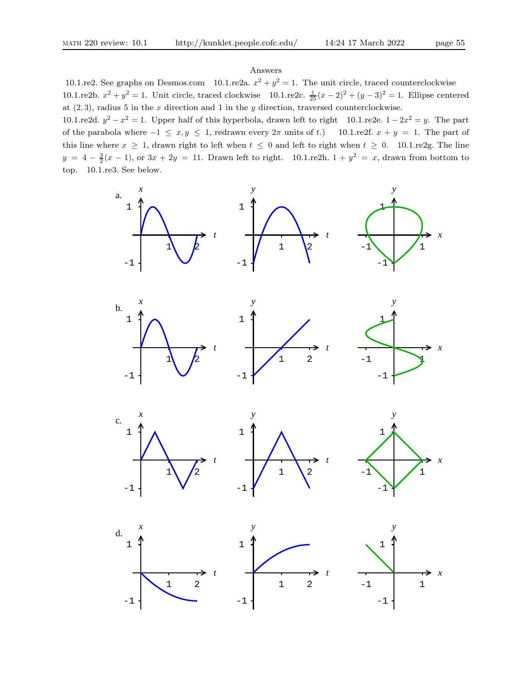#### Answers

10.1.re2. See graphs on Desmos.com 10.1.re2a.  $x^2 + y^2 = 1$ . The unit circle, traced counterclockwise 10.1.re2b.  $x^2 + y^2 = 1$ . Unit circle, traced clockwise 10.1.re2c.  $\frac{1}{25}(x-2)^2 + (y-3)^2 = 1$ . Ellipse centered at  $(2, 3)$ , radius 5 in the x direction and 1 in the y direction, traversed counterclockwise.

10.1.re2d.  $y^2 - x^2 = 1$ . Upper half of this hyperbola, drawn left to right 10.1.re2e.  $1 - 2x^2 = y$ . The part of the parabola where  $-1 \le x, y \le 1$ , redrawn every  $2\pi$  units of t.) 10.1.re2f.  $x + y = 1$ . The part of this line where  $x \ge 1$ , drawn right to left when  $t \le 0$  and left to right when  $t \ge 0$ . 10.1.re2g. The line  $y = 4 - \frac{3}{2}(x - 1)$ , or  $3x + 2y = 11$ . Drawn left to right.  $10.1$ .re2h.  $1 + y^2 = x$ , drawn from bottom to top. 10.1.re3. See below.

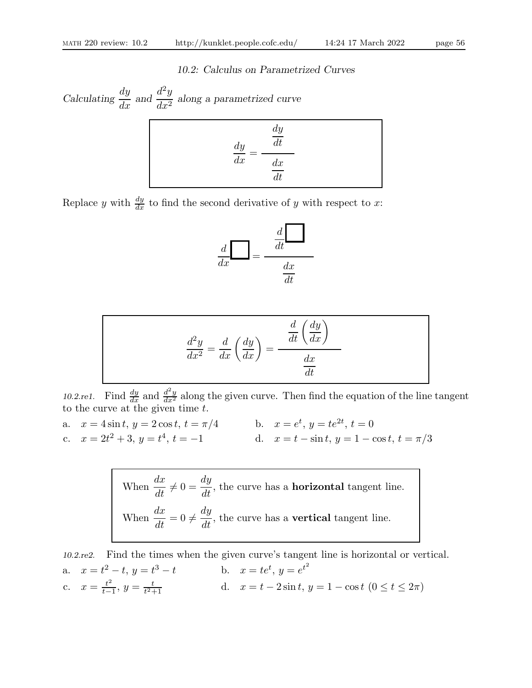### 10.2: Calculus on Parametrized Curves

Calculating  $\frac{dy}{dx}$  and  $\frac{d^2y}{dx^2}$  $\frac{d^2y}{dx^2}$  along a parametrized curve

$$
\frac{dy}{dx} = \frac{\frac{dy}{dt}}{\frac{dx}{dt}}
$$

Replace y with  $\frac{dy}{dx}$  to find the second derivative of y with respect to x:

$$
\frac{d}{dx} = \frac{\frac{d}{dt}}{\frac{dx}{dt}}
$$

$$
\frac{d^2y}{dx^2} = \frac{d}{dx}\left(\frac{dy}{dx}\right) = \frac{\frac{d}{dt}\left(\frac{dy}{dx}\right)}{\frac{dx}{dt}}
$$

10.2.re1. Find  $\frac{dy}{dx}$  and  $\frac{d^2y}{dx^2}$  along the given curve. Then find the equation of the line tangent to the curve at the given time  $t$ .

a.  $x = 4\sin t$ ,  $y = 2\cos t$ ,  $t = \pi/4$  b.  $x = e^t$ ,  $y = te^{2t}$ ,  $t = 0$ c.  $x = 2t^2 + 3$ ,  $y = t^4$ ,  $t = -1$  d.  $x = t - \sin t$ ,  $y = 1 - \cos t$ ,  $t = \pi/3$ 

> When  $\frac{dx}{dt}$  $\frac{d}{dt} \neq 0 =$ dy  $\frac{dS}{dt}$ , the curve has a **horizontal** tangent line. When  $\frac{dx}{y}$  $\frac{dE}{dt} = 0 \neq$ dy  $\frac{dS}{dt}$ , the curve has a **vertical** tangent line.

10.2.re2. Find the times when the given curve's tangent line is horizontal or vertical. a.  $x = t^2 - t$ ,  $y = t^3 - t$  b.  $x = te^t$ ,  $y = e^{t^2}$ c.  $x = \frac{t^2}{t-1}$  $\frac{t^2}{t-1}, y = \frac{t}{t^2-1}$  $\frac{t}{t^2+1}$  d.  $x = t - 2\sin t, y = 1 - \cos t \ (0 \le t \le 2\pi)$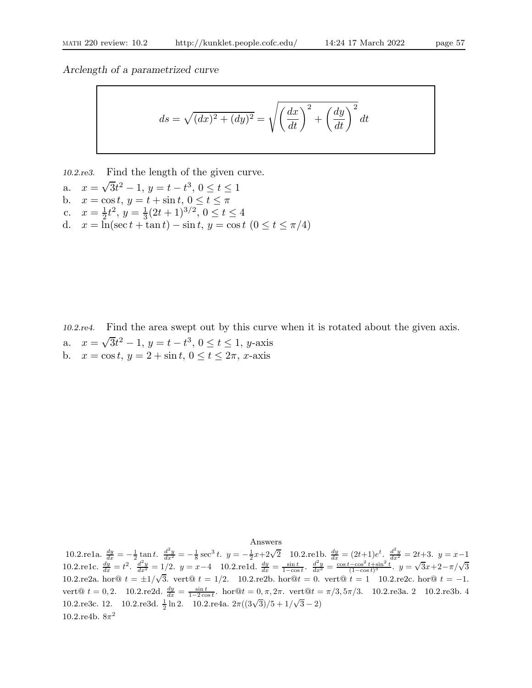Arclength of a parametrized curve

$$
ds = \sqrt{(dx)^2 + (dy)^2} = \sqrt{\left(\frac{dx}{dt}\right)^2 + \left(\frac{dy}{dt}\right)^2} dt
$$

10.2.re3. Find the length of the given curve.

- a.  $x = \sqrt{3}t^2 1$ ,  $y = t t^3$ ,  $0 \le t \le 1$
- b.  $x = \cos t$ ,  $y = t + \sin t$ ,  $0 \le t \le \pi$
- c.  $x = \frac{1}{2}$  $\frac{1}{2}t^2$ ,  $y = \frac{1}{3}$  $\frac{1}{3}(2t+1)^{3/2}, 0 \le t \le 4$
- d.  $x = \ln(\sec t + \tan t) \sin t, y = \cos t \ (0 \le t \le \pi/4)$

10.2.re4. Find the area swept out by this curve when it is rotated about the given axis. a.  $x = \sqrt{3}t^2 - 1$ ,  $y = t - t^3$ ,  $0 \le t \le 1$ , y-axis b.  $x = \cos t, y = 2 + \sin t, 0 \le t \le 2\pi, x$ -axis

Answers

10.2.re1a.  $\frac{dy}{dx} = -\frac{1}{2} \tan t$ .  $\frac{d^2y}{dx^2} = -\frac{1}{8} \sec^3 t$ .  $y = -\frac{1}{2}x + 2\sqrt{2}$  10.2.re1b.  $\frac{dy}{dx} = (2t+1)e^t$ .  $\frac{d^2y}{dx^2} = 2t+3$ .  $y = x-1$ 10.2.re1c.  $\frac{dy}{dx} = t^2$ .  $\frac{d^2y}{dx^2} = 1/2$ .  $y = x-4$  10.2.re1d.  $\frac{dy}{dx} = \frac{\sin t}{1-\cos t}$ .  $\frac{d^2y}{dx^2} = \frac{\cos t - \cos^2 t + \sin^2 t}{(1-\cos t)^3}$ .  $y = \sqrt{3}x + 2 - \pi/\sqrt{3}$ 10.2.re2a. hor@  $t = \pm 1/\sqrt{3}$ . vert@  $t = 1/2$ . 10.2.re2b. hor@ $t = 0$ . vert@  $t = 1$  10.2.re2c. hor@  $t = -1$ . vert@  $t = 0, 2$ . 10.2.re2d.  $\frac{dy}{dx} = \frac{\sin t}{1-2\cos t}$ . hor@ $t = 0, \pi, 2\pi$ . vert@ $t = \pi/3, 5\pi/3$ . 10.2.re3a. 2 10.2.re3b. 4 10.2.re3c. 12. 10.2.re3d.  $\frac{1}{2}$  ln 2. 10.2.re4a.  $2\pi((3\sqrt{3})/5 + 1/\sqrt{3} - 2)$ 10.2.re4b.  $8\pi^2$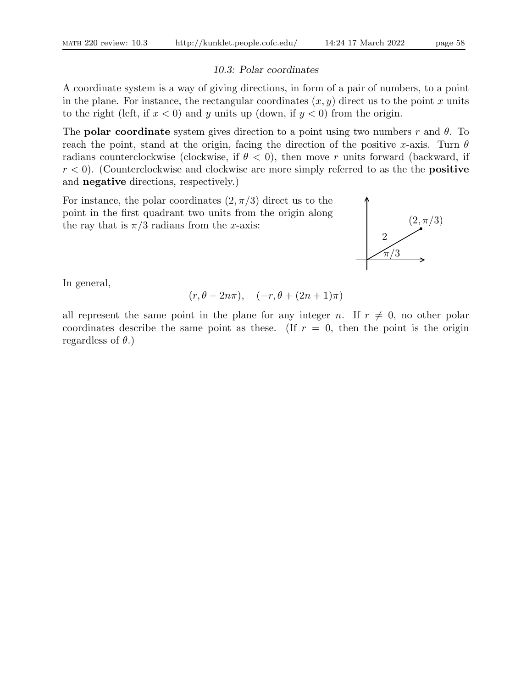#### 10.3: Polar coordinates

A coordinate system is a way of giving directions, in form of a pair of numbers, to a point in the plane. For instance, the rectangular coordinates  $(x, y)$  direct us to the point x units to the right (left, if  $x < 0$ ) and y units up (down, if  $y < 0$ ) from the origin.

The **polar coordinate** system gives direction to a point using two numbers r and  $\theta$ . To reach the point, stand at the origin, facing the direction of the positive x-axis. Turn  $\theta$ radians counterclockwise (clockwise, if  $\theta < 0$ ), then move r units forward (backward, if  $r < 0$ ). (Counterclockwise and clockwise are more simply referred to as the the **positive** and negative directions, respectively.)

For instance, the polar coordinates  $(2, \pi/3)$  direct us to the point in the first quadrant two units from the origin along the ray that is  $\pi/3$  radians from the x-axis:



In general,

$$
(r, \theta + 2n\pi), \quad (-r, \theta + (2n+1)\pi)
$$

all represent the same point in the plane for any integer n. If  $r \neq 0$ , no other polar coordinates describe the same point as these. (If  $r = 0$ , then the point is the origin regardless of  $\theta$ .)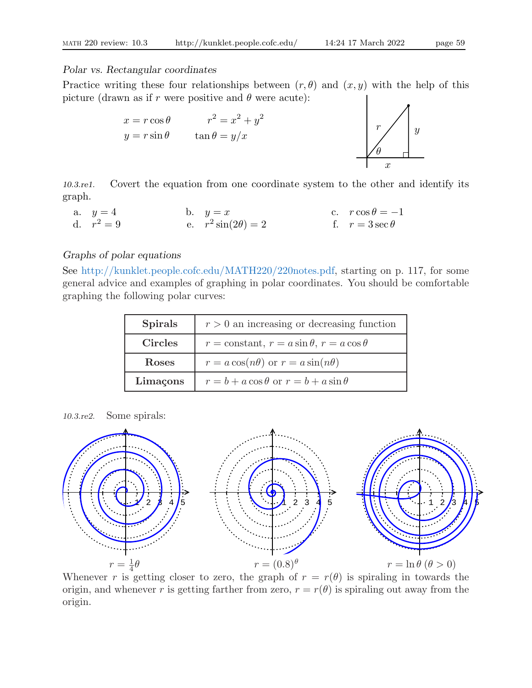#### Polar vs. Rectangular coordinates

Practice writing these four relationships between  $(r, \theta)$  and  $(x, y)$  with the help of this picture (drawn as if r were positive and  $\theta$  were acute):



10.3.re1. Covert the equation from one coordinate system to the other and identify its graph.

a.  $y = 4$  b.  $y = x$  c.  $r \cos \theta = -1$ d.  $r^2 = 9$  $z^2 = 9$  e.  $r^2 \sin(2\theta) = 2$  f.  $r = 3 \sec \theta$ 

# Graphs of polar equations

See http://kunklet.people.cofc.edu/MATH220/220notes.pdf, starting on p. 117, for some general advice and examples of graphing in polar coordinates. You should be comfortable graphing the following polar curves:

| <b>Spirals</b> | $r > 0$ an increasing or decreasing function                |
|----------------|-------------------------------------------------------------|
| <b>Circles</b> | $r = \text{constant}, r = a \sin \theta, r = a \cos \theta$ |
| <b>Roses</b>   | $r = a \cos(n\theta)$ or $r = a \sin(n\theta)$              |
| Limaçons       | $r = b + a \cos \theta$ or $r = b + a \sin \theta$          |

10.3.re2. Some spirals:



Whenever r is getting closer to zero, the graph of  $r = r(\theta)$  is spiraling in towards the origin, and whenever r is getting farther from zero,  $r = r(\theta)$  is spiraling out away from the origin.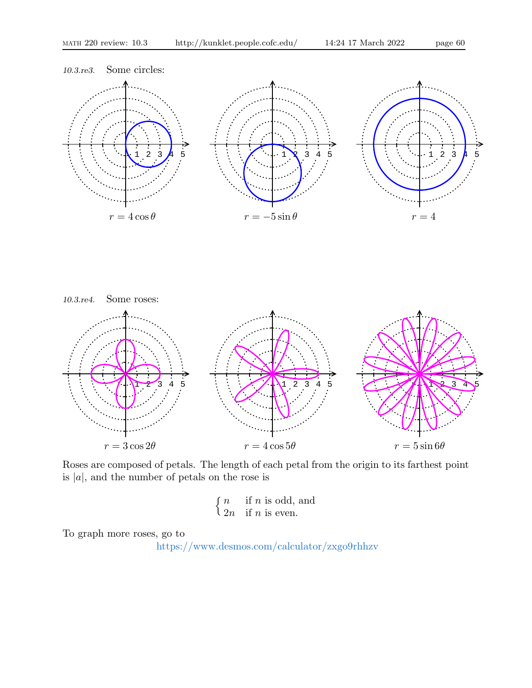



Roses are composed of petals. The length of each petal from the origin to its farthest point is  $|a|$ , and the number of petals on the rose is

$$
\begin{cases} n & \text{if } n \text{ is odd, and} \\ 2n & \text{if } n \text{ is even.} \end{cases}
$$

To graph more roses, go to

https://www.desmos.com/calculator/zxgo9rhhzv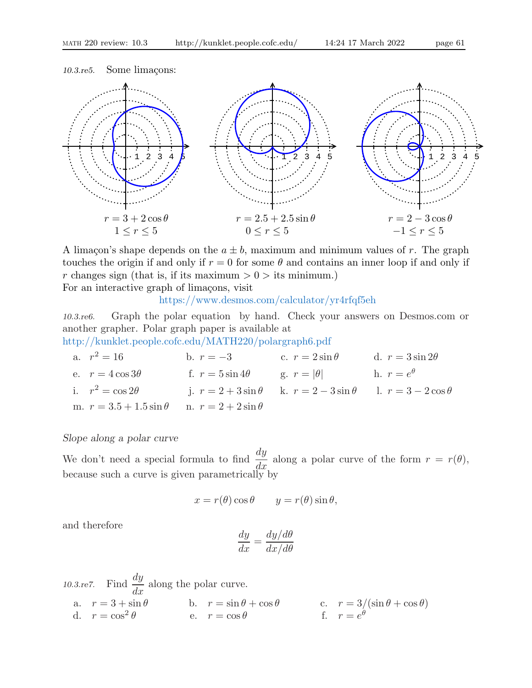

A limaçon's shape depends on the  $a \pm b$ , maximum and minimum values of r. The graph touches the origin if and only if  $r = 0$  for some  $\theta$  and contains an inner loop if and only if r changes sign (that is, if its maximum  $> 0 >$  its minimum.)

For an interactive graph of limaçons, visit

https://www.desmos.com/calculator/yr4rfqf5eh

10.3.re6. Graph the polar equation by hand. Check your answers on Desmos.com or another grapher. Polar graph paper is available at

http://kunklet.people.cofc.edu/MATH220/polargraph6.pdf

a.  $r^2 = 16$  $2^2 = 16$  b.  $r = -3$  c.  $r = 2 \sin \theta$  d.  $r = 3 \sin 2\theta$ e.  $r = 4 \cos 3\theta$  f.  $r = 5 \sin 4\theta$  g.  $r = |\theta|$  h.  $r = e^{\theta}$ i.  $r^2 = \cos 2\theta$  j.  $r = 2 + 3\sin \theta$  k.  $r = 2 - 3\sin \theta$  l.  $r = 3 - 2\cos \theta$ m.  $r = 3.5 + 1.5 \sin \theta$  n.  $r = 2 + 2 \sin \theta$ 

# Slope along a polar curve

We don't need a special formula to find  $\frac{dy}{dx}$  $\frac{dy}{dx}$  along a polar curve of the form  $r = r(\theta)$ , because such a curve is given parametrically by

$$
x = r(\theta)\cos\theta \qquad y = r(\theta)\sin\theta,
$$

and therefore

$$
\frac{dy}{dx} = \frac{dy/d\theta}{dx/d\theta}
$$

10.3.re7. Find  $\frac{dy}{dt}$  $\frac{dy}{dx}$  along the polar curve. a.  $r = 3 + \sin \theta$  b.  $r = \sin \theta + \cos \theta$  c.  $r = 3/(\sin \theta + \cos \theta)$ d.  $r = \cos^2 \theta$  e.  $r = \cos \theta$  f.  $r = e$ c.  $r = 3/(\sin \theta + \cos \theta)$ <br>f.  $r = e^{\theta}$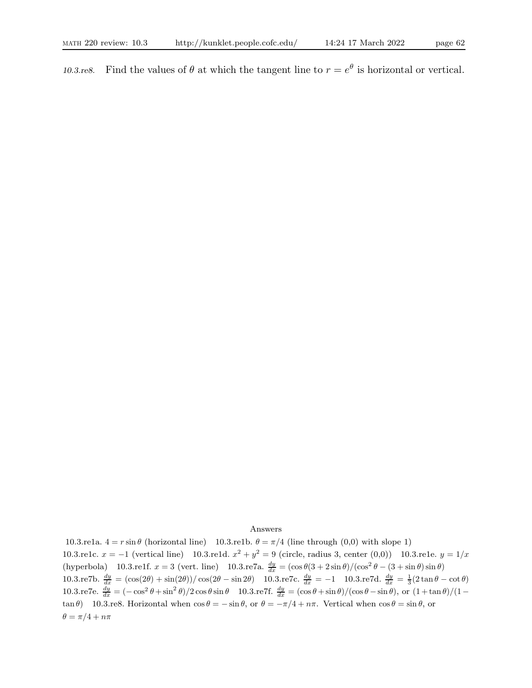10.3.re8. Find the values of  $\theta$  at which the tangent line to  $r = e^{\theta}$  is horizontal or vertical.

#### Answers

10.3.re1a.  $4 = r \sin \theta$  (horizontal line) 10.3.re1b.  $\theta = \pi/4$  (line through (0,0) with slope 1) 10.3.re1c.  $x = -1$  (vertical line) 10.3.re1d.  $x^2 + y^2 = 9$  (circle, radius 3, center (0,0)) 10.3.re1e.  $y = 1/x$ (hyperbola) 10.3.re1f.  $x = 3$  (vert. line) 10.3.re7a.  $\frac{dy}{dx} = (\cos \theta (3 + 2 \sin \theta) / (\cos^2 \theta - (3 + \sin \theta) \sin \theta)$ 10.3.re7b.  $\frac{dy}{dx} = (\cos(2\theta) + \sin(2\theta))/\cos(2\theta - \sin 2\theta)$  10.3.re7c.  $\frac{dy}{dx} = -1$  10.3.re7d.  $\frac{dy}{dx} = \frac{1}{3}(2\tan\theta - \cot\theta)$ 10.3.re7e.  $\frac{dy}{dx} = \frac{(-\cos^2 \theta + \sin^2 \theta)}{2 \cos \theta \sin \theta}$  10.3.re7f.  $\frac{dy}{dx} = (\cos \theta + \sin \theta) / (\cos \theta - \sin \theta)$ , or  $(1 + \tan \theta) / (1 - \theta)$ tan  $\theta$ ) 10.3.re8. Horizontal when  $\cos \theta = -\sin \theta$ , or  $\theta = -\pi/4 + n\pi$ . Vertical when  $\cos \theta = \sin \theta$ , or  $\theta = \pi/4 + n\pi$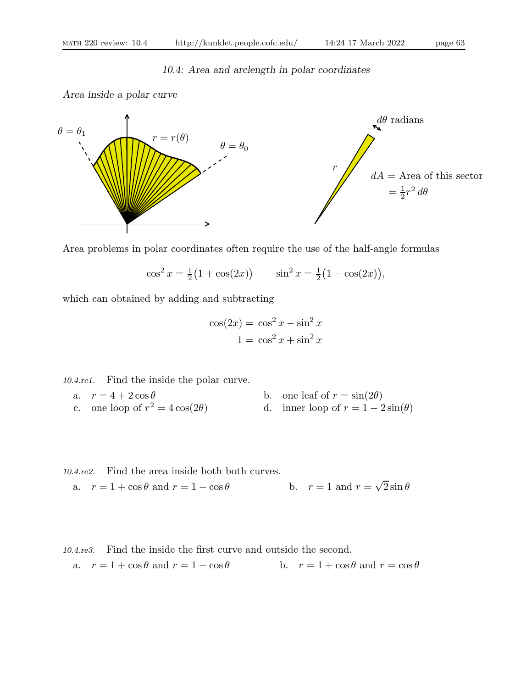# 10.4: Area and arclength in polar coordinates

Area inside a polar curve



Area problems in polar coordinates often require the use of the half-angle formulas

$$
\cos^2 x = \frac{1}{2} (1 + \cos(2x)) \qquad \sin^2 x = \frac{1}{2} (1 - \cos(2x)),
$$

which can obtained by adding and subtracting

$$
\cos(2x) = \cos^2 x - \sin^2 x
$$

$$
1 = \cos^2 x + \sin^2 x
$$

10.4.re1. Find the inside the polar curve.

a.  $r = 4 + 2\cos\theta$  b. one leaf of  $r = \sin(2\theta)$ c. one loop of  $r^2 = 4\cos(2\theta)$ d. inner loop of  $r = 1 - 2 \sin(\theta)$ 

10.4.re2. Find the area inside both both curves.  
a. 
$$
r = 1 + \cos \theta
$$
 and  $r = 1 - \cos \theta$  b.  $r = 1$  and  $r = \sqrt{2} \sin \theta$ 

10.4.re3. Find the inside the first curve and outside the second. a.  $r = 1 + \cos \theta$  and  $r = 1 - \cos \theta$  b.  $r = 1 + \cos \theta$  and  $r = \cos \theta$